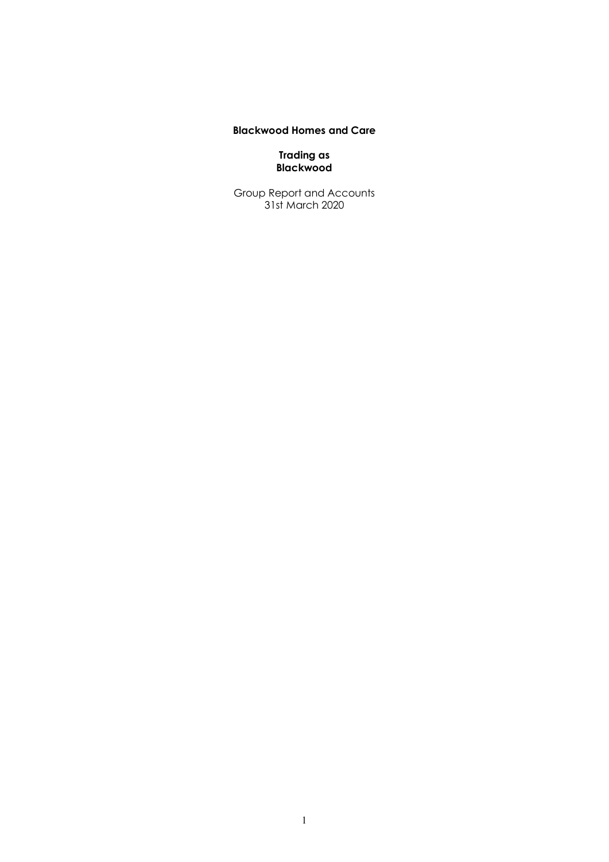## **Blackwood Homes and Care**

**Trading as Blackwood**

Group Report and Accounts 31st March 2020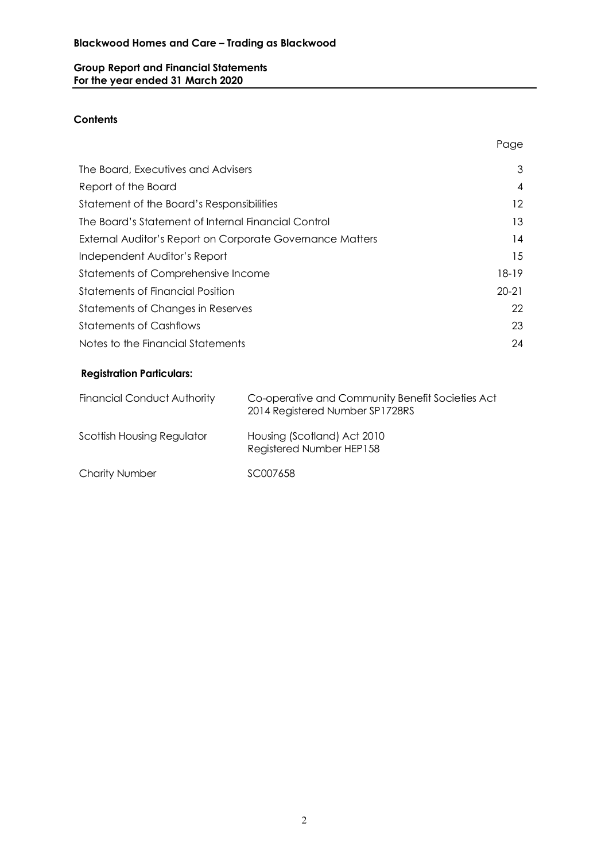## **Group Report and Financial Statements For the year ended 31 March 2020**

## **Contents**

| The Board, Executives and Advisers                        | 3         |
|-----------------------------------------------------------|-----------|
| Report of the Board                                       | 4         |
| Statement of the Board's Responsibilities                 | 12        |
| The Board's Statement of Internal Financial Control       | 13        |
| External Auditor's Report on Corporate Governance Matters | 14        |
| Independent Auditor's Report                              | 15        |
| Statements of Comprehensive Income                        | 18-19     |
| Statements of Financial Position                          | $20 - 21$ |
| Statements of Changes in Reserves                         | 22        |
| <b>Statements of Cashflows</b>                            | 23        |
| Notes to the Financial Statements                         | 24        |

Page

## **Registration Particulars:**

| <b>Financial Conduct Authority</b> | Co-operative and Community Benefit Societies Act<br>2014 Registered Number SP1728RS |
|------------------------------------|-------------------------------------------------------------------------------------|
| Scottish Housing Regulator         | Housing (Scotland) Act 2010<br>Registered Number HEP158                             |
| <b>Charity Number</b>              | SC007658                                                                            |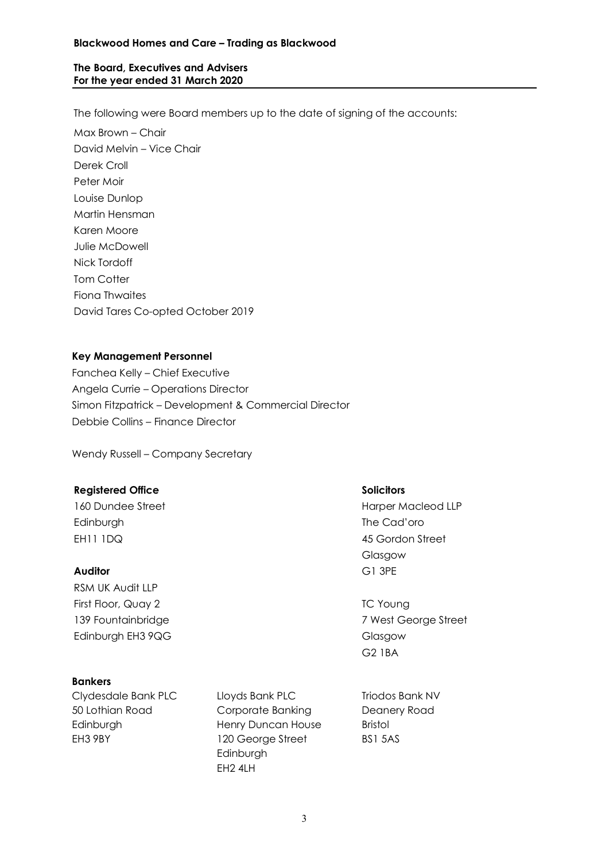## **Blackwood Homes and Care – Trading as Blackwood**

## **The Board, Executives and Advisers For the year ended 31 March 2020**

The following were Board members up to the date of signing of the accounts:

Max Brown – Chair David Melvin – Vice Chair Derek Croll Peter Moir Louise Dunlop Martin Hensman Karen Moore Julie McDowell Nick Tordoff Tom Cotter Fiona Thwaites David Tares Co-opted October 2019

## **Key Management Personnel**

Fanchea Kelly – Chief Executive Angela Currie – Operations Director Simon Fitzpatrick – Development & Commercial Director Debbie Collins – Finance Director

Wendy Russell – Company Secretary

#### **Registered Office Solicitors**

Edinburgh The Cad'oro EH11 IDQ 45 Gordon Street

#### **Auditor** G1 3PE

RSM UK Audit LLP First Floor, Quay 2 TC Young Edinburgh EH3 9QG Glasgow

## **Bankers**

Clydesdale Bank PLC 50 Lothian Road Edinburgh EH3 9BY

Lloyds Bank PLC Corporate Banking Henry Duncan House 120 George Street Edinburgh EH2 4LH

Triodos Bank NV Deanery Road Bristol BS1 5AS

160 Dundee Street **Harper Macleod LLP** Glasgow

139 Fountainbridge 7 West George Street G2 1BA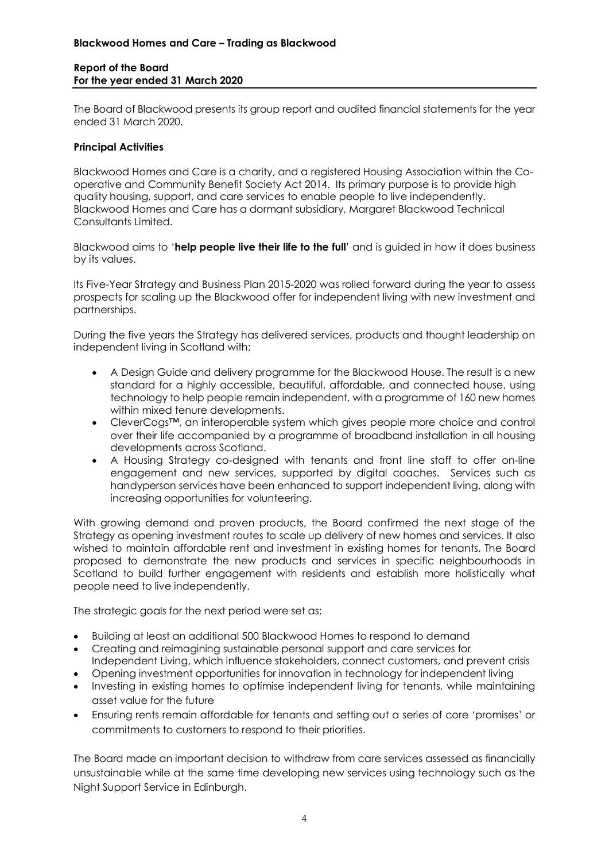## **Blackwood Homes and Care – Trading as Blackwood**

#### **Report of the Board For the year ended 31 March 2020**

The Board of Blackwood presents its group report and audited financial statements for the year ended 31 March 2020.

#### **Principal Activities**

Blackwood Homes and Care is a charity, and a registered Housing Association within the Cooperative and Community Benefit Society Act 2014. Its primary purpose is to provide high quality housing, support, and care services to enable people to live independently. Blackwood Homes and Care has a dormant subsidiary, Margaret Blackwood Technical Consultants Limited.

Blackwood aims to '**help people live their life to the full**' and is guided in how it does business by its values.

Its Five-Year Strategy and Business Plan 2015-2020 was rolled forward during the year to assess prospects for scaling up the Blackwood offer for independent living with new investment and partnerships.

During the five years the Strategy has delivered services, products and thought leadership on independent living in Scotland with;

- A Design Guide and delivery programme for the Blackwood House. The result is a new standard for a highly accessible, beautiful, affordable, and connected house, using technology to help people remain independent, with a programme of 160 new homes within mixed tenure developments.
- CleverCogs™, an interoperable system which gives people more choice and control over their life accompanied by a programme of broadband installation in all housing developments across Scotland.
- A Housing Strategy co-designed with tenants and front line staff to offer on-line engagement and new services, supported by digital coaches. Services such as handyperson services have been enhanced to support independent living, along with increasing opportunities for volunteering.

With growing demand and proven products, the Board confirmed the next stage of the Strategy as opening investment routes to scale up delivery of new homes and services. It also wished to maintain affordable rent and investment in existing homes for tenants. The Board proposed to demonstrate the new products and services in specific neighbourhoods in Scotland to build further engagement with residents and establish more holistically what people need to live independently.

The strategic goals for the next period were set as;

- Building at least an additional 500 Blackwood Homes to respond to demand
- Creating and reimagining sustainable personal support and care services for Independent Living, which influence stakeholders, connect customers, and prevent crisis
- Opening investment opportunities for innovation in technology for independent living
- Investing in existing homes to optimise independent living for tenants, while maintaining asset value for the future
- Ensuring rents remain affordable for tenants and setting out a series of core 'promises' or commitments to customers to respond to their priorities.

The Board made an important decision to withdraw from care services assessed as financially unsustainable while at the same time developing new services using technology such as the Night Support Service in Edinburgh.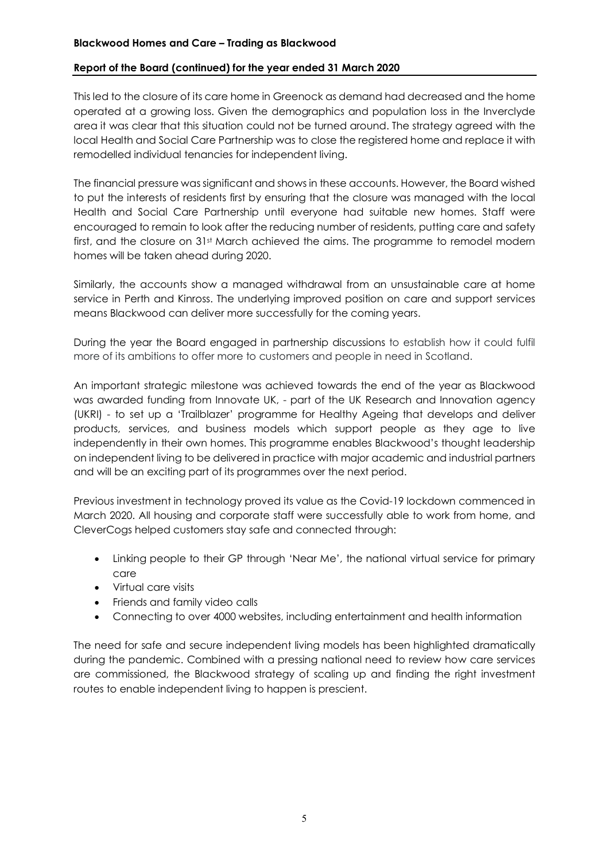## **Report of the Board (continued) for the year ended 31 March 2020**

This led to the closure of its care home in Greenock as demand had decreased and the home operated at a growing loss. Given the demographics and population loss in the Inverclyde area it was clear that this situation could not be turned around. The strategy agreed with the local Health and Social Care Partnership was to close the registered home and replace it with remodelled individual tenancies for independent living.

The financial pressure was significant and shows in these accounts. However, the Board wished to put the interests of residents first by ensuring that the closure was managed with the local Health and Social Care Partnership until everyone had suitable new homes. Staff were encouraged to remain to look after the reducing number of residents, putting care and safety first, and the closure on 31st March achieved the aims. The programme to remodel modern homes will be taken ahead during 2020.

Similarly, the accounts show a managed withdrawal from an unsustainable care at home service in Perth and Kinross. The underlying improved position on care and support services means Blackwood can deliver more successfully for the coming years.

During the year the Board engaged in partnership discussions to establish how it could fulfil more of its ambitions to offer more to customers and people in need in Scotland.

An important strategic milestone was achieved towards the end of the year as Blackwood was awarded funding from Innovate UK, - part of the UK Research and Innovation agency (UKRI) - to set up a 'Trailblazer' programme for Healthy Ageing that develops and deliver products, services, and business models which support people as they age to live independently in their own homes. This programme enables Blackwood's thought leadership on independent living to be delivered in practice with major academic and industrial partners and will be an exciting part of its programmes over the next period.

Previous investment in technology proved its value as the Covid-19 lockdown commenced in March 2020. All housing and corporate staff were successfully able to work from home, and CleverCogs helped customers stay safe and connected through:

- Linking people to their GP through 'Near Me', the national virtual service for primary care
- Virtual care visits
- Friends and family video calls
- Connecting to over 4000 websites, including entertainment and health information

The need for safe and secure independent living models has been highlighted dramatically during the pandemic. Combined with a pressing national need to review how care services are commissioned, the Blackwood strategy of scaling up and finding the right investment routes to enable independent living to happen is prescient.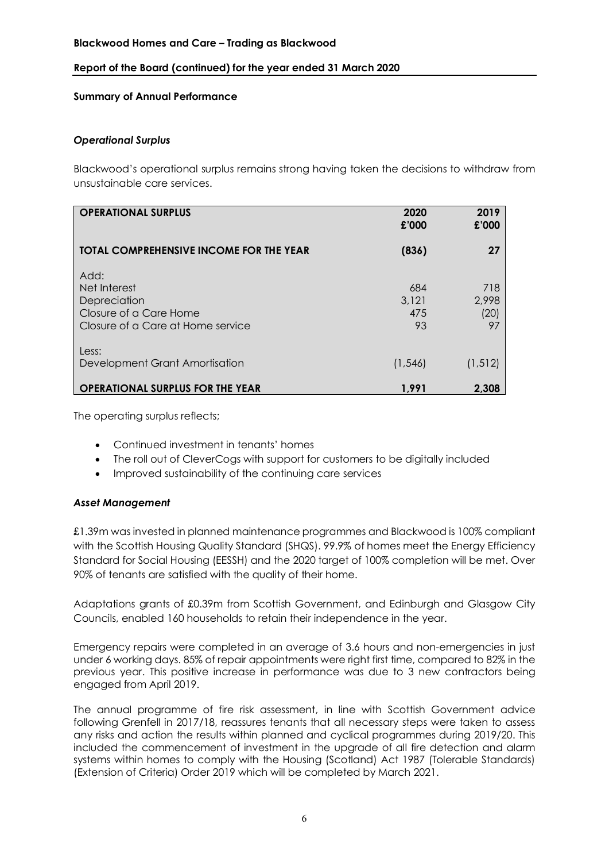## **Report of the Board (continued) for the year ended 31 March 2020**

## **Summary of Annual Performance**

## *Operational Surplus*

Blackwood's operational surplus remains strong having taken the decisions to withdraw from unsustainable care services.

| <b>OPERATIONAL SURPLUS</b>                                                                          | 2020<br>£'000             | 2019<br>£'000              |
|-----------------------------------------------------------------------------------------------------|---------------------------|----------------------------|
| <b>TOTAL COMPREHENSIVE INCOME FOR THE YEAR</b>                                                      | (836)                     | 27                         |
| Add:<br>Net Interest<br>Depreciation<br>Closure of a Care Home<br>Closure of a Care at Home service | 684<br>3,121<br>475<br>93 | 718<br>2,998<br>(20)<br>97 |
| Less:<br>Development Grant Amortisation                                                             | (1, 546)                  | (1, 512)                   |
| <b>OPERATIONAL SURPLUS FOR THE YEAR</b>                                                             | 1,991                     | 2.308                      |

The operating surplus reflects;

- Continued investment in tenants' homes
- The roll out of CleverCogs with support for customers to be digitally included
- Improved sustainability of the continuing care services

## *Asset Management*

£1.39m was invested in planned maintenance programmes and Blackwood is 100% compliant with the Scottish Housing Quality Standard (SHQS). 99.9% of homes meet the Energy Efficiency Standard for Social Housing (EESSH) and the 2020 target of 100% completion will be met. Over 90% of tenants are satisfied with the quality of their home.

Adaptations grants of £0.39m from Scottish Government, and Edinburgh and Glasgow City Councils, enabled 160 households to retain their independence in the year.

Emergency repairs were completed in an average of 3.6 hours and non-emergencies in just under 6 working days. 85% of repair appointments were right first time, compared to 82% in the previous year. This positive increase in performance was due to 3 new contractors being engaged from April 2019.

The annual programme of fire risk assessment, in line with Scottish Government advice following Grenfell in 2017/18, reassures tenants that all necessary steps were taken to assess any risks and action the results within planned and cyclical programmes during 2019/20. This included the commencement of investment in the upgrade of all fire detection and alarm systems within homes to comply with the Housing (Scotland) Act 1987 (Tolerable Standards) (Extension of Criteria) Order 2019 which will be completed by March 2021.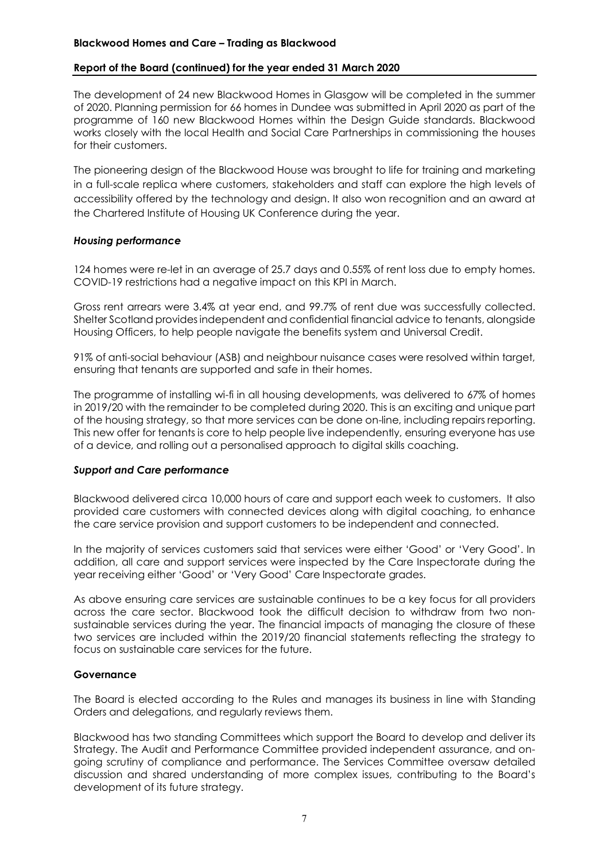## **Blackwood Homes and Care – Trading as Blackwood**

#### **Report of the Board (continued) for the year ended 31 March 2020**

The development of 24 new Blackwood Homes in Glasgow will be completed in the summer of 2020. Planning permission for 66 homes in Dundee was submitted in April 2020 as part of the programme of 160 new Blackwood Homes within the Design Guide standards. Blackwood works closely with the local Health and Social Care Partnerships in commissioning the houses for their customers.

The pioneering design of the Blackwood House was brought to life for training and marketing in a full-scale replica where customers, stakeholders and staff can explore the high levels of accessibility offered by the technology and design. It also won recognition and an award at the Chartered Institute of Housing UK Conference during the year.

## *Housing performance*

124 homes were re-let in an average of 25.7 days and 0.55% of rent loss due to empty homes. COVID-19 restrictions had a negative impact on this KPI in March.

Gross rent arrears were 3.4% at year end, and 99.7% of rent due was successfully collected. Shelter Scotland providesindependent and confidential financial advice to tenants, alongside Housing Officers, to help people navigate the benefits system and Universal Credit.

91% of anti-social behaviour (ASB) and neighbour nuisance cases were resolved within target, ensuring that tenants are supported and safe in their homes.

The programme of installing wi-fi in all housing developments, was delivered to 67% of homes in 2019/20 with the remainder to be completed during 2020. This is an exciting and unique part of the housing strategy, so that more services can be done on-line, including repairs reporting. This new offer for tenants is core to help people live independently, ensuring everyone has use of a device, and rolling out a personalised approach to digital skills coaching.

#### *Support and Care performance*

Blackwood delivered circa 10,000 hours of care and support each week to customers. It also provided care customers with connected devices along with digital coaching, to enhance the care service provision and support customers to be independent and connected.

In the majority of services customers said that services were either 'Good' or 'Very Good'. In addition, all care and support services were inspected by the Care Inspectorate during the year receiving either 'Good' or 'Very Good' Care Inspectorate grades.

As above ensuring care services are sustainable continues to be a key focus for all providers across the care sector. Blackwood took the difficult decision to withdraw from two nonsustainable services during the year. The financial impacts of managing the closure of these two services are included within the 2019/20 financial statements reflecting the strategy to focus on sustainable care services for the future.

#### **Governance**

The Board is elected according to the Rules and manages its business in line with Standing Orders and delegations, and regularly reviews them.

Blackwood has two standing Committees which support the Board to develop and deliver its Strategy. The Audit and Performance Committee provided independent assurance, and ongoing scrutiny of compliance and performance. The Services Committee oversaw detailed discussion and shared understanding of more complex issues, contributing to the Board's development of its future strategy.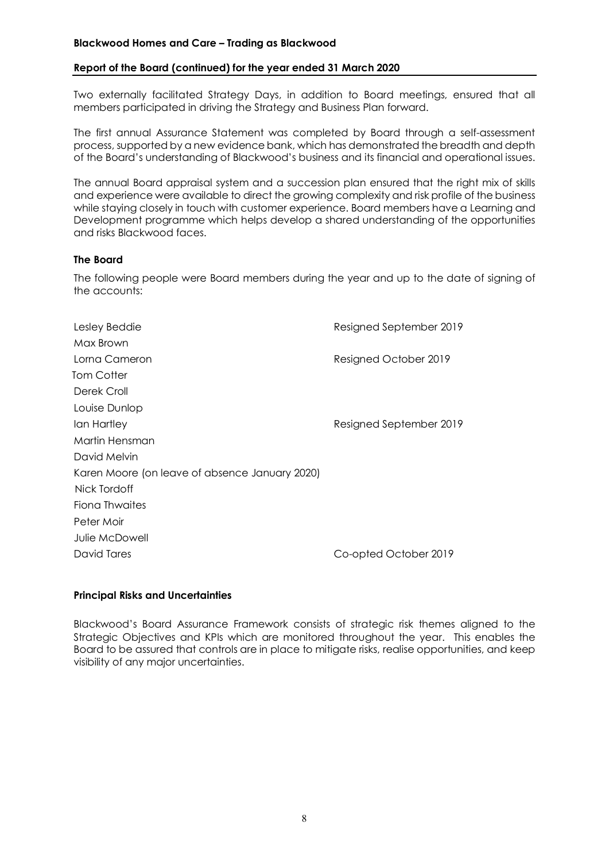## **Blackwood Homes and Care – Trading as Blackwood**

#### **Report of the Board (continued) for the year ended 31 March 2020**

Two externally facilitated Strategy Days, in addition to Board meetings, ensured that all members participated in driving the Strategy and Business Plan forward.

The first annual Assurance Statement was completed by Board through a self-assessment process, supported by a new evidence bank, which has demonstrated the breadth and depth of the Board's understanding of Blackwood's business and its financial and operational issues.

The annual Board appraisal system and a succession plan ensured that the right mix of skills and experience were available to direct the growing complexity and risk profile of the business while staying closely in touch with customer experience. Board members have a Learning and Development programme which helps develop a shared understanding of the opportunities and risks Blackwood faces.

## **The Board**

The following people were Board members during the year and up to the date of signing of the accounts:

| Lesley Beddie                                  | Resigned September 2019 |
|------------------------------------------------|-------------------------|
| Max Brown                                      |                         |
| Lorna Cameron                                  | Resigned October 2019   |
| Tom Cotter                                     |                         |
| Derek Croll                                    |                         |
| Louise Dunlop                                  |                         |
| lan Hartley                                    | Resigned September 2019 |
| Martin Hensman                                 |                         |
| David Melvin                                   |                         |
| Karen Moore (on leave of absence January 2020) |                         |
| Nick Tordoff                                   |                         |
| Fiona Thwaites                                 |                         |
| Peter Moir                                     |                         |
| Julie McDowell                                 |                         |
| David Tares                                    | Co-opted October 2019   |
|                                                |                         |

## **Principal Risks and Uncertainties**

Blackwood's Board Assurance Framework consists of strategic risk themes aligned to the Strategic Objectives and KPIs which are monitored throughout the year. This enables the Board to be assured that controls are in place to mitigate risks, realise opportunities, and keep visibility of any major uncertainties.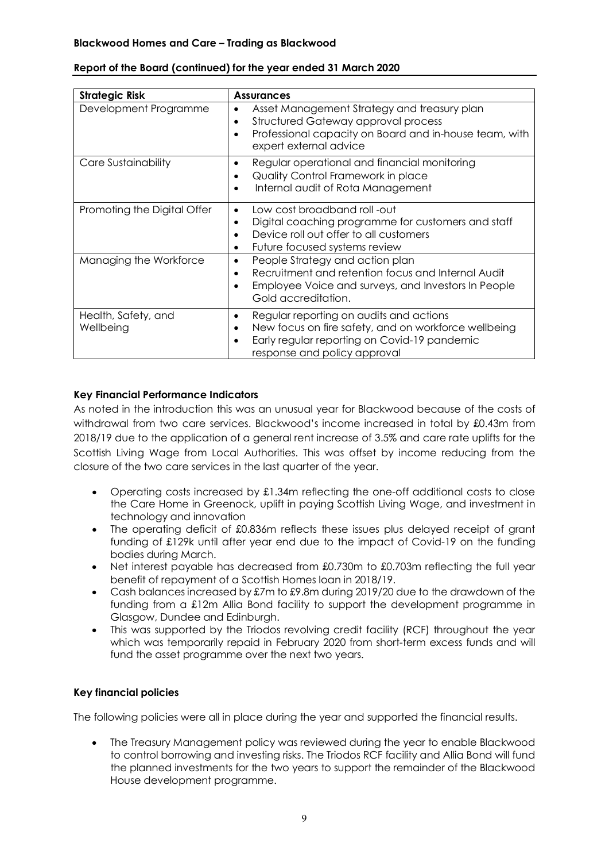| <b>Strategic Risk</b>            | <b>Assurances</b>                                                                                                                                                                                              |
|----------------------------------|----------------------------------------------------------------------------------------------------------------------------------------------------------------------------------------------------------------|
| Development Programme            | Asset Management Strategy and treasury plan<br>Structured Gateway approval process<br>٠<br>Professional capacity on Board and in-house team, with<br>$\bullet$<br>expert external advice                       |
| Care Sustainability              | Regular operational and financial monitoring<br>$\bullet$<br>Quality Control Framework in place<br>$\bullet$<br>Internal audit of Rota Management<br>$\bullet$                                                 |
| Promoting the Digital Offer      | Low cost broadband roll -out<br>$\bullet$<br>Digital coaching programme for customers and staff<br>$\bullet$<br>Device roll out offer to all customers<br>Future focused systems review<br>٠                   |
| Managing the Workforce           | People Strategy and action plan<br>$\bullet$<br>Recruitment and retention focus and Internal Audit<br>$\bullet$<br>Employee Voice and surveys, and Investors In People<br>$\bullet$<br>Gold accreditation.     |
| Health, Safety, and<br>Wellbeing | Regular reporting on audits and actions<br>٠<br>New focus on fire safety, and on workforce wellbeing<br>$\bullet$<br>Early regular reporting on Covid-19 pandemic<br>$\bullet$<br>response and policy approval |

## **Report of the Board (continued) for the year ended 31 March 2020**

## **Key Financial Performance Indicators**

As noted in the introduction this was an unusual year for Blackwood because of the costs of withdrawal from two care services. Blackwood's income increased in total by £0.43m from 2018/19 due to the application of a general rent increase of 3.5% and care rate uplifts for the Scottish Living Wage from Local Authorities. This was offset by income reducing from the closure of the two care services in the last quarter of the year.

- Operating costs increased by £1.34m reflecting the one-off additional costs to close the Care Home in Greenock, uplift in paying Scottish Living Wage, and investment in technology and innovation
- The operating deficit of £0.836m reflects these issues plus delayed receipt of grant funding of £129k until after year end due to the impact of Covid-19 on the funding bodies during March.
- Net interest payable has decreased from £0.730m to £0.703m reflecting the full year benefit of repayment of a Scottish Homes loan in 2018/19.
- Cash balances increased by £7m to £9.8m during 2019/20 due to the drawdown of the funding from a £12m Allia Bond facility to support the development programme in Glasgow, Dundee and Edinburgh.
- This was supported by the Triodos revolving credit facility (RCF) throughout the year which was temporarily repaid in February 2020 from short-term excess funds and will fund the asset programme over the next two years.

## **Key financial policies**

The following policies were all in place during the year and supported the financial results.

• The Treasury Management policy was reviewed during the year to enable Blackwood to control borrowing and investing risks. The Triodos RCF facility and Allia Bond will fund the planned investments for the two years to support the remainder of the Blackwood House development programme.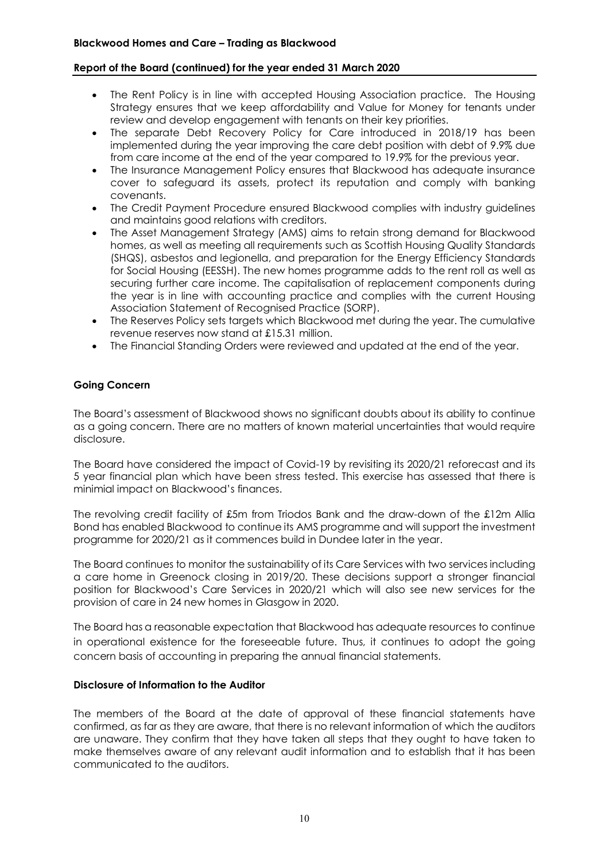## **Report of the Board (continued) for the year ended 31 March 2020**

- The Rent Policy is in line with accepted Housing Association practice. The Housing Strategy ensures that we keep affordability and Value for Money for tenants under review and develop engagement with tenants on their key priorities.
- The separate Debt Recovery Policy for Care introduced in 2018/19 has been implemented during the year improving the care debt position with debt of 9.9% due from care income at the end of the year compared to 19.9% for the previous year.
- The Insurance Management Policy ensures that Blackwood has adequate insurance cover to safeguard its assets, protect its reputation and comply with banking covenants.
- The Credit Payment Procedure ensured Blackwood complies with industry guidelines and maintains good relations with creditors.
- The Asset Management Strategy (AMS) aims to retain strong demand for Blackwood homes, as well as meeting all requirements such as Scottish Housing Quality Standards (SHQS), asbestos and legionella, and preparation for the Energy Efficiency Standards for Social Housing (EESSH). The new homes programme adds to the rent roll as well as securing further care income. The capitalisation of replacement components during the year is in line with accounting practice and complies with the current Housing Association Statement of Recognised Practice (SORP).
- The Reserves Policy sets targets which Blackwood met during the year. The cumulative revenue reserves now stand at £15.31 million.
- The Financial Standing Orders were reviewed and updated at the end of the year.

## **Going Concern**

The Board's assessment of Blackwood shows no significant doubts about its ability to continue as a going concern. There are no matters of known material uncertainties that would require disclosure.

The Board have considered the impact of Covid-19 by revisiting its 2020/21 reforecast and its 5 year financial plan which have been stress tested. This exercise has assessed that there is minimial impact on Blackwood's finances.

The revolving credit facility of £5m from Triodos Bank and the draw-down of the £12m Allia Bond has enabled Blackwood to continue its AMS programme and will support the investment programme for 2020/21 as it commences build in Dundee later in the year.

The Board continues to monitor the sustainability of its Care Services with two services including a care home in Greenock closing in 2019/20. These decisions support a stronger financial position for Blackwood's Care Services in 2020/21 which will also see new services for the provision of care in 24 new homes in Glasgow in 2020.

The Board has a reasonable expectation that Blackwood has adequate resources to continue in operational existence for the foreseeable future. Thus, it continues to adopt the going concern basis of accounting in preparing the annual financial statements.

#### **Disclosure of Information to the Auditor**

The members of the Board at the date of approval of these financial statements have confirmed, as far as they are aware, that there is no relevant information of which the auditors are unaware. They confirm that they have taken all steps that they ought to have taken to make themselves aware of any relevant audit information and to establish that it has been communicated to the auditors.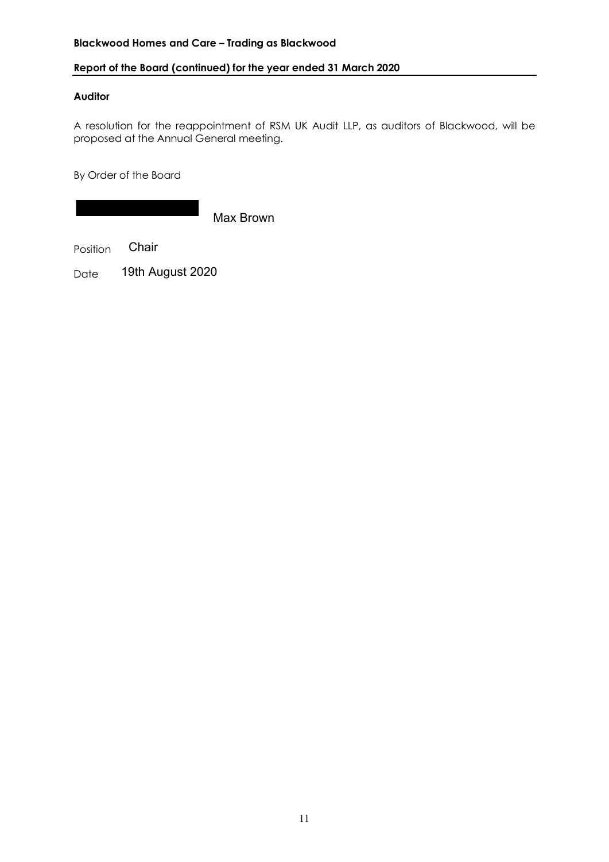## **Blackwood Homes and Care – Trading as Blackwood**

## **Report of the Board (continued) for the year ended 31 March 2020**

## **Auditor**

A resolution for the reappointment of RSM UK Audit LLP, as auditors of Blackwood, will be proposed at the Annual General meeting.

By Order of the Board

Max Brown

Position Chair

Date 19th August 2020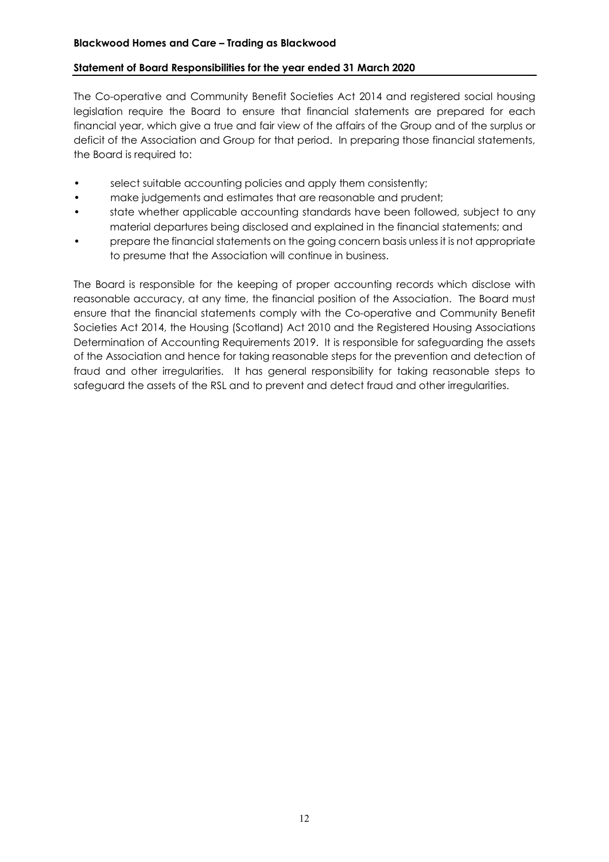## **Statement of Board Responsibilities for the year ended 31 March 2020**

The Co-operative and Community Benefit Societies Act 2014 and registered social housing legislation require the Board to ensure that financial statements are prepared for each financial year, which give a true and fair view of the affairs of the Group and of the surplus or deficit of the Association and Group for that period. In preparing those financial statements, the Board is required to:

- select suitable accounting policies and apply them consistently;
- make judgements and estimates that are reasonable and prudent;
- state whether applicable accounting standards have been followed, subject to any material departures being disclosed and explained in the financial statements; and
- prepare the financial statements on the going concern basis unless it is not appropriate to presume that the Association will continue in business.

The Board is responsible for the keeping of proper accounting records which disclose with reasonable accuracy, at any time, the financial position of the Association. The Board must ensure that the financial statements comply with the Co-operative and Community Benefit Societies Act 2014, the Housing (Scotland) Act 2010 and the Registered Housing Associations Determination of Accounting Requirements 2019. It is responsible for safeguarding the assets of the Association and hence for taking reasonable steps for the prevention and detection of fraud and other irregularities. It has general responsibility for taking reasonable steps to safeguard the assets of the RSL and to prevent and detect fraud and other irregularities.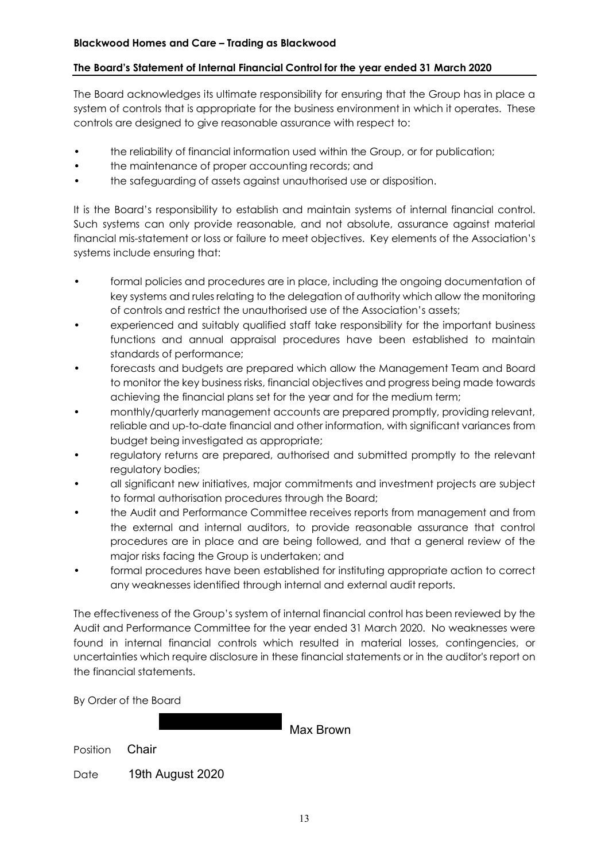## **The Board's Statement of Internal Financial Control for the year ended 31 March 2020**

The Board acknowledges its ultimate responsibility for ensuring that the Group has in place a system of controls that is appropriate for the business environment in which it operates. These controls are designed to give reasonable assurance with respect to:

- the reliability of financial information used within the Group, or for publication;
- the maintenance of proper accounting records; and
- the safeguarding of assets against unauthorised use or disposition.

It is the Board's responsibility to establish and maintain systems of internal financial control. Such systems can only provide reasonable, and not absolute, assurance against material financial mis-statement or loss or failure to meet objectives. Key elements of the Association's systems include ensuring that:

- formal policies and procedures are in place, including the ongoing documentation of key systems and rules relating to the delegation of authority which allow the monitoring of controls and restrict the unauthorised use of the Association's assets;
- experienced and suitably qualified staff take responsibility for the important business functions and annual appraisal procedures have been established to maintain standards of performance;
- forecasts and budgets are prepared which allow the Management Team and Board to monitor the key business risks, financial objectives and progress being made towards achieving the financial plans set for the year and for the medium term;
- monthly/quarterly management accounts are prepared promptly, providing relevant, reliable and up-to-date financial and other information, with significant variances from budget being investigated as appropriate;
- regulatory returns are prepared, authorised and submitted promptly to the relevant regulatory bodies;
- all significant new initiatives, major commitments and investment projects are subject to formal authorisation procedures through the Board;
- the Audit and Performance Committee receives reports from management and from the external and internal auditors, to provide reasonable assurance that control procedures are in place and are being followed, and that a general review of the major risks facing the Group is undertaken; and
- formal procedures have been established for instituting appropriate action to correct any weaknesses identified through internal and external audit reports.

The effectiveness of the Group's system of internal financial control has been reviewed by the Audit and Performance Committee for the year ended 31 March 2020. No weaknesses were found in internal financial controls which resulted in material losses, contingencies, or uncertainties which require disclosure in these financial statements or in the auditor's report on the financial statements.

By Order of the Board

Position Date Max Brown **Chair** 19th August 2020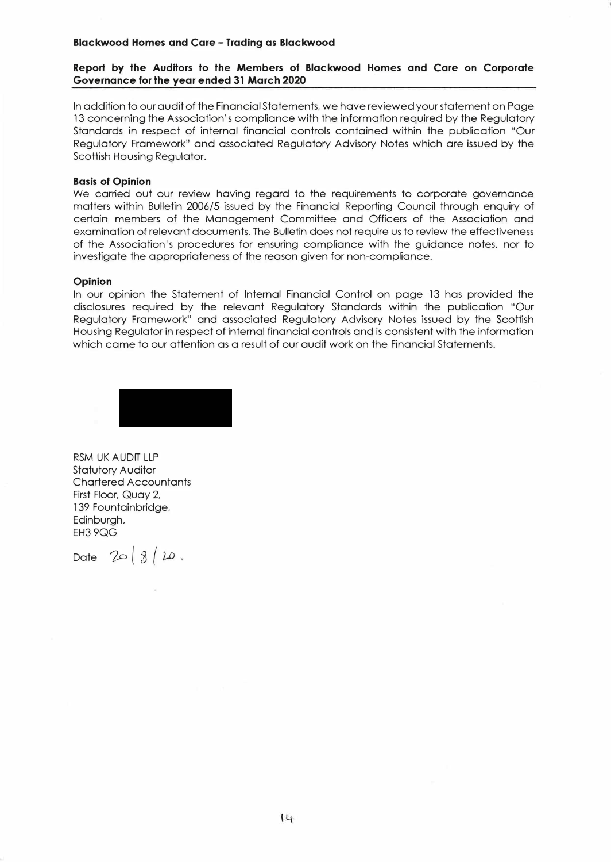#### **Blackwood Homes and Care - Trading as Blackwood**

#### **Report by the Auditors to the Members of Blackwood Homes and Care on Corporate Governance for the year ended 31 March 2020**

In addition to our audit of the Financial Statements, we have reviewed your statement on Page 13 concerning the Association's compliance with the information required by the Regulatory Standards in respect of internal financial controls contained within the publication "Our Regulatory Framework" and associated Regulatory Advisory Notes which are issued by the Scottish Housing Regulator.

#### **Basis of Opinion**

We carried out our review having regard to the requirements to corporate governance matters within Bulletin 2006/5 issued by the Financial Reporting Council through enquiry of certain members of the Management Committee and Officers of the Association and examination of relevant documents. The Bulletin does not require us to review the effectiveness of the Association's procedures for ensuring compliance with the guidance notes, nor to investigate the appropriateness of the reason given for non-compliance.

#### **Opinion**

In our opinion the Statement of Internal Financial Control on page 13 has provided the disclosures required by the relevant Regulatory Standards within the publication "Our Regulatory Framework" and associated Regulatory Advisory Notes issued by the Scottish Housing Regulator in respect of internal financial controls and is consistent with the information which came to our attention as a result of our audit work on the Financial Statements.



RSM UK AUDIT LLP Statutory Auditor Chartered Accountants First Floor, Quay 2, 139 Fountainbridge, Edinburgh, EH3 9QG

Date  $20|3|10$ .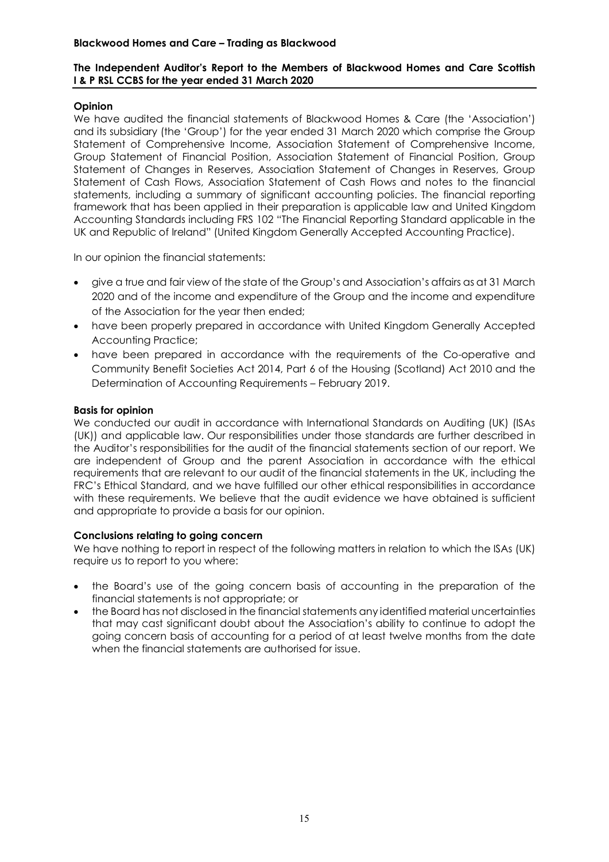## **The Independent Auditor's Report to the Members of Blackwood Homes and Care Scottish I & P RSL CCBS for the year ended 31 March 2020**

## **Opinion**

We have audited the financial statements of Blackwood Homes & Care (the 'Association') and its subsidiary (the 'Group') for the year ended 31 March 2020 which comprise the Group Statement of Comprehensive Income, Association Statement of Comprehensive Income, Group Statement of Financial Position, Association Statement of Financial Position, Group Statement of Changes in Reserves, Association Statement of Changes in Reserves, Group Statement of Cash Flows, Association Statement of Cash Flows and notes to the financial statements, including a summary of significant accounting policies. The financial reporting framework that has been applied in their preparation is applicable law and United Kingdom Accounting Standards including FRS 102 "The Financial Reporting Standard applicable in the UK and Republic of Ireland" (United Kingdom Generally Accepted Accounting Practice).

In our opinion the financial statements:

- give a true and fair view of the state of the Group's and Association's affairs as at 31 March 2020 and of the income and expenditure of the Group and the income and expenditure of the Association for the year then ended;
- have been properly prepared in accordance with United Kingdom Generally Accepted Accounting Practice;
- have been prepared in accordance with the requirements of the Co-operative and Community Benefit Societies Act 2014, Part 6 of the Housing (Scotland) Act 2010 and the Determination of Accounting Requirements – February 2019.

## **Basis for opinion**

We conducted our audit in accordance with International Standards on Auditing (UK) (ISAs (UK)) and applicable law. Our responsibilities under those standards are further described in the Auditor's responsibilities for the audit of the financial statements section of our report. We are independent of Group and the parent Association in accordance with the ethical requirements that are relevant to our audit of the financial statements in the UK, including the FRC's Ethical Standard, and we have fulfilled our other ethical responsibilities in accordance with these requirements. We believe that the audit evidence we have obtained is sufficient and appropriate to provide a basis for our opinion.

#### **Conclusions relating to going concern**

We have nothing to report in respect of the following matters in relation to which the ISAs (UK) require us to report to you where:

- the Board's use of the going concern basis of accounting in the preparation of the financial statements is not appropriate; or
- the Board has not disclosed in the financial statements any identified material uncertainties that may cast significant doubt about the Association's ability to continue to adopt the going concern basis of accounting for a period of at least twelve months from the date when the financial statements are authorised for issue.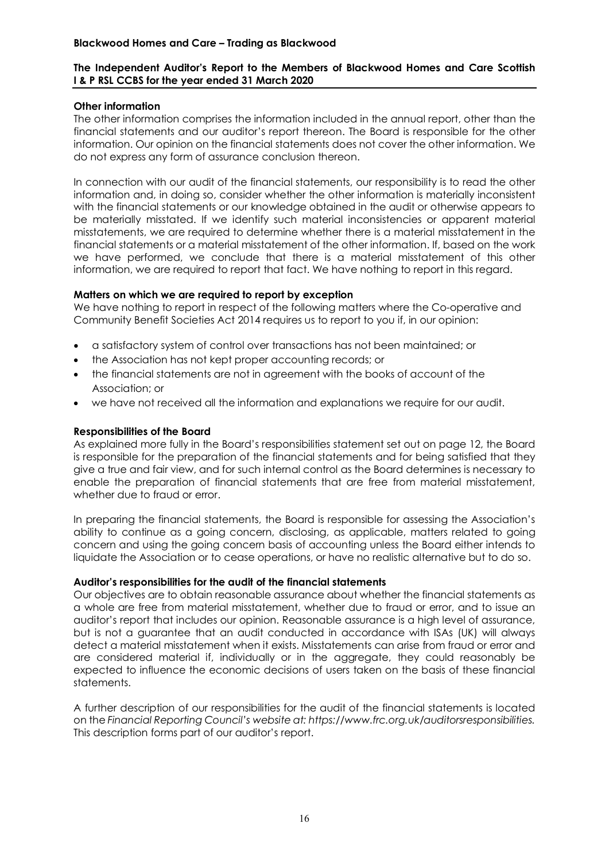## **The Independent Auditor's Report to the Members of Blackwood Homes and Care Scottish I & P RSL CCBS for the year ended 31 March 2020**

## **Other information**

The other information comprises the information included in the annual report, other than the financial statements and our auditor's report thereon. The Board is responsible for the other information. Our opinion on the financial statements does not cover the other information. We do not express any form of assurance conclusion thereon.

In connection with our audit of the financial statements, our responsibility is to read the other information and, in doing so, consider whether the other information is materially inconsistent with the financial statements or our knowledge obtained in the audit or otherwise appears to be materially misstated. If we identify such material inconsistencies or apparent material misstatements, we are required to determine whether there is a material misstatement in the financial statements or a material misstatement of the other information. If, based on the work we have performed, we conclude that there is a material misstatement of this other information, we are required to report that fact. We have nothing to report in this regard.

## **Matters on which we are required to report by exception**

We have nothing to report in respect of the following matters where the Co-operative and Community Benefit Societies Act 2014 requires us to report to you if, in our opinion:

- a satisfactory system of control over transactions has not been maintained; or
- the Association has not kept proper accounting records; or
- the financial statements are not in agreement with the books of account of the Association; or
- we have not received all the information and explanations we require for our audit.

## **Responsibilities of the Board**

As explained more fully in the Board's responsibilities statement set out on page 12, the Board is responsible for the preparation of the financial statements and for being satisfied that they give a true and fair view, and for such internal control as the Board determines is necessary to enable the preparation of financial statements that are free from material misstatement, whether due to fraud or error.

In preparing the financial statements, the Board is responsible for assessing the Association's ability to continue as a going concern, disclosing, as applicable, matters related to going concern and using the going concern basis of accounting unless the Board either intends to liquidate the Association or to cease operations, or have no realistic alternative but to do so.

#### **Auditor's responsibilities for the audit of the financial statements**

Our objectives are to obtain reasonable assurance about whether the financial statements as a whole are free from material misstatement, whether due to fraud or error, and to issue an auditor's report that includes our opinion. Reasonable assurance is a high level of assurance, but is not a guarantee that an audit conducted in accordance with ISAs (UK) will always detect a material misstatement when it exists. Misstatements can arise from fraud or error and are considered material if, individually or in the aggregate, they could reasonably be expected to influence the economic decisions of users taken on the basis of these financial statements.

A further description of our responsibilities for the audit of the financial statements is located on the *Financial Reporting Council's website at: [https://www.frc.org.uk/auditorsresponsibilities.](https://www.frc.org.uk/auditorsresponsibilities)*  This description forms part of our auditor's report.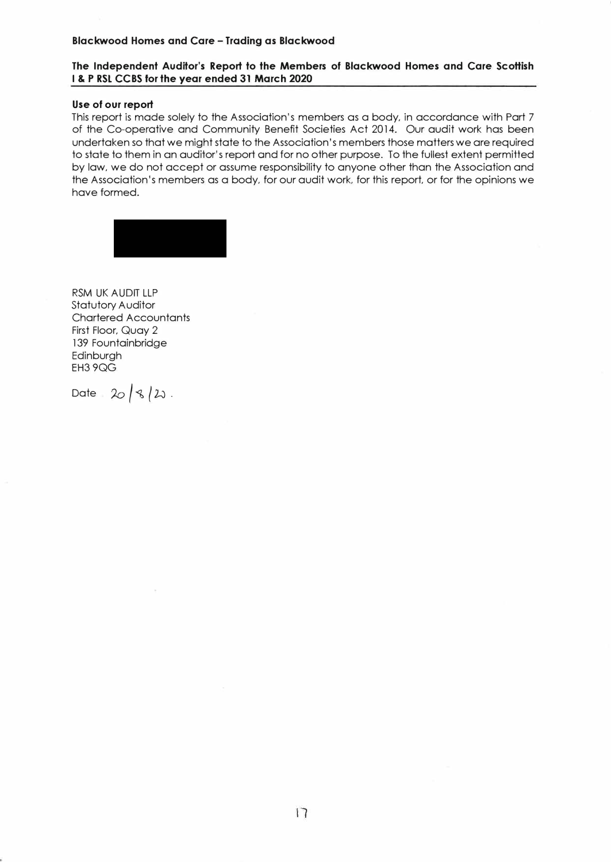#### **Blackwood Homes and Care - Trading as Blackwood**

#### **The Independent Auditor's Report to the Members of Blackwood Homes and Care Scottish I & P RSL CCBS for the year ended 31 March 2020**

#### **Use of our report**

This report is made solely to the Association's members as a body, in accordance with Part 7 of the Co-operative and Community Benefit Societies Act 2014. Our audit work has been undertaken so that we might state to the Association's members those matters we are required to state to them in an auditor's report and for no other purpose. To the fullest extent permitted by law, we do not accept or assume responsibility to anyone other than the Association and the Association's members as a body, for our audit work, for this report, or for the opinions we have formed.



RSM UK AUDIT LLP Statutory Auditor Chartered Accountants First Floor, Quay 2 139 Fountainbridge Edinburgh EH39QG

Date  $20/8/2$ .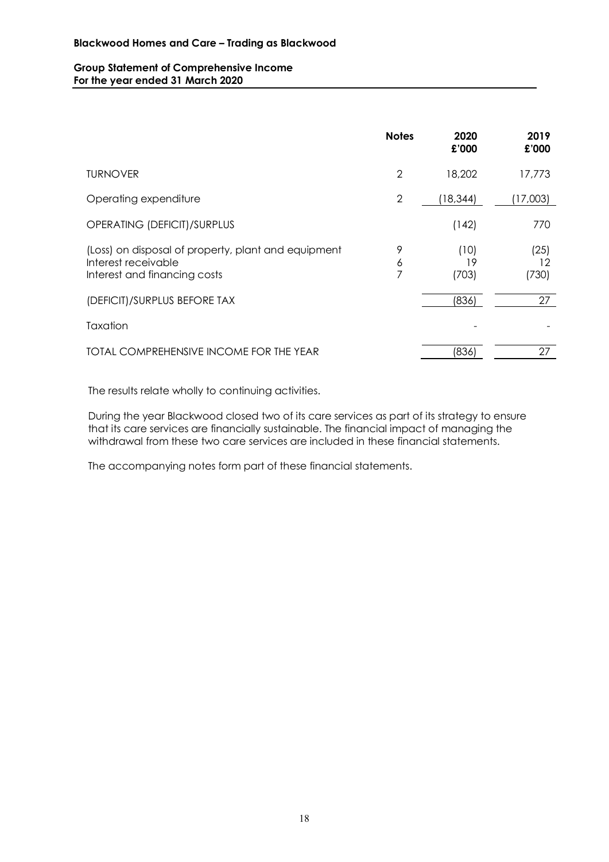#### **Group Statement of Comprehensive Income For the year ended 31 March 2020**

|                                                                                                            | <b>Notes</b>   | 2020<br>£'000       | 2019<br>£'000       |
|------------------------------------------------------------------------------------------------------------|----------------|---------------------|---------------------|
| <b>TURNOVER</b>                                                                                            | 2              | 18,202              | 17,773              |
| Operating expenditure                                                                                      | $\overline{2}$ | (18, 344)           | (17,003)            |
| OPERATING (DEFICIT)/SURPLUS                                                                                |                | (142)               | 770                 |
| (Loss) on disposal of property, plant and equipment<br>Interest receivable<br>Interest and financing costs | 9<br>6<br>7    | (10)<br>19<br>(703) | (25)<br>12<br>(730) |
| (DEFICIT)/SURPLUS BEFORE TAX                                                                               |                | (836)               | 27                  |
| Taxation                                                                                                   |                |                     |                     |
| TOTAL COMPREHENSIVE INCOME FOR THE YEAR                                                                    |                | (836)               | 27                  |

The results relate wholly to continuing activities.

During the year Blackwood closed two of its care services as part of its strategy to ensure that its care services are financially sustainable. The financial impact of managing the withdrawal from these two care services are included in these financial statements.

The accompanying notes form part of these financial statements.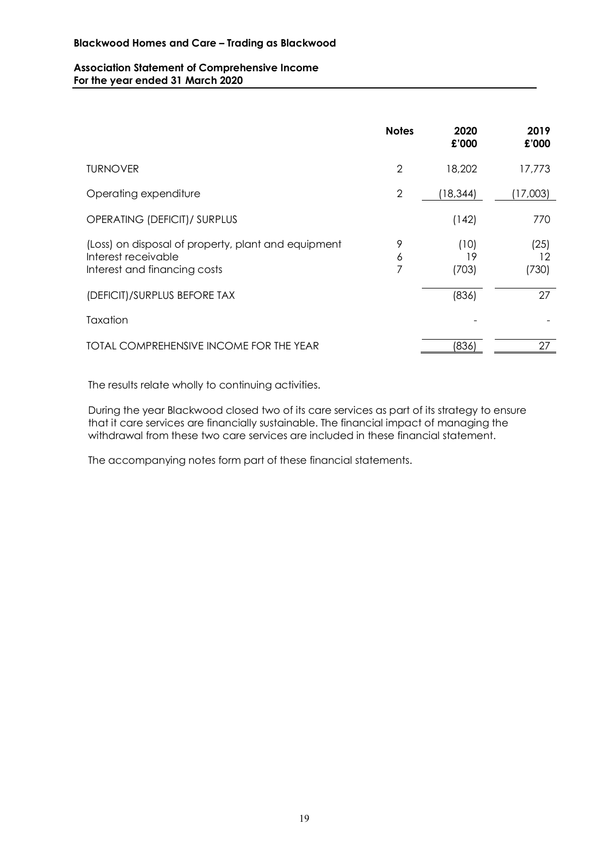#### **Association Statement of Comprehensive Income For the year ended 31 March 2020**

|                                                                                                            | <b>Notes</b> | 2020<br>£'000       | 2019<br>£'000       |
|------------------------------------------------------------------------------------------------------------|--------------|---------------------|---------------------|
| <b>TURNOVER</b>                                                                                            | 2            | 18,202              | 17,773              |
| Operating expenditure                                                                                      | $\mathbf{2}$ | (18, 344)           | (17,003)            |
| OPERATING (DEFICIT)/ SURPLUS                                                                               |              | (142)               | 770                 |
| (Loss) on disposal of property, plant and equipment<br>Interest receivable<br>Interest and financing costs | 9<br>6<br>7  | (10)<br>19<br>(703) | (25)<br>12<br>(730) |
| (DEFICIT)/SURPLUS BEFORE TAX                                                                               |              | (836)               | 27                  |
| Taxation                                                                                                   |              |                     |                     |
| TOTAL COMPREHENSIVE INCOME FOR THE YEAR                                                                    |              | (836)               | 27                  |

The results relate wholly to continuing activities.

During the year Blackwood closed two of its care services as part of its strategy to ensure that it care services are financially sustainable. The financial impact of managing the withdrawal from these two care services are included in these financial statement.

The accompanying notes form part of these financial statements.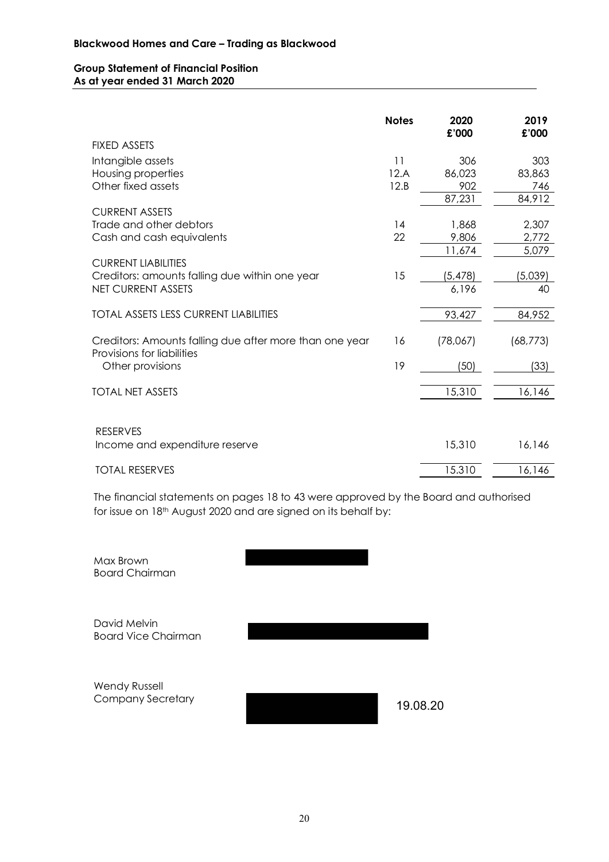#### **Group Statement of Financial Position As at year ended 31 March 2020**

|                                                                                       | <b>Notes</b> | 2020<br>£'000  | 2019<br>£'000  |
|---------------------------------------------------------------------------------------|--------------|----------------|----------------|
| <b>FIXED ASSETS</b>                                                                   |              |                |                |
| Intangible assets                                                                     | 11           | 306            | 303            |
| Housing properties                                                                    | 12.A         | 86,023         | 83,863         |
| Other fixed assets                                                                    | 12.B         | 902            | 746            |
|                                                                                       |              | 87,231         | 84,912         |
| <b>CURRENT ASSETS</b>                                                                 |              |                |                |
| Trade and other debtors<br>Cash and cash equivalents                                  | 14<br>22     | 1,868<br>9,806 | 2,307<br>2,772 |
|                                                                                       |              | 11,674         | 5,079          |
| <b>CURRENT LIABILITIES</b>                                                            |              |                |                |
| Creditors: amounts falling due within one year                                        | 15           | (5, 478)       | (5,039)        |
| <b>NET CURRENT ASSETS</b>                                                             |              | 6,196          | 40             |
|                                                                                       |              |                |                |
| <b>TOTAL ASSETS LESS CURRENT LIABILITIES</b>                                          |              | 93,427         | 84,952         |
| Creditors: Amounts falling due after more than one year<br>Provisions for liabilities | 16           | (78,067)       | (68, 773)      |
| Other provisions                                                                      | 19           | (50)           | (33)           |
|                                                                                       |              |                |                |
| <b>TOTAL NET ASSETS</b>                                                               |              | 15,310         | 16,146         |
|                                                                                       |              |                |                |
| <b>RESERVES</b>                                                                       |              |                |                |
| Income and expenditure reserve                                                        |              | 15,310         | 16,146         |
| <b>TOTAL RESERVES</b>                                                                 |              | 15.310         | 16,146         |

The financial statements on pages 18 to 43 were approved by the Board and authorised for issue on 18th August 2020 and are signed on its behalf by:

| Max Brown<br><b>Board Chairman</b>               |          |
|--------------------------------------------------|----------|
| David Melvin<br><b>Board Vice Chairman</b>       |          |
| <b>Wendy Russell</b><br><b>Company Secretary</b> | 19.08.20 |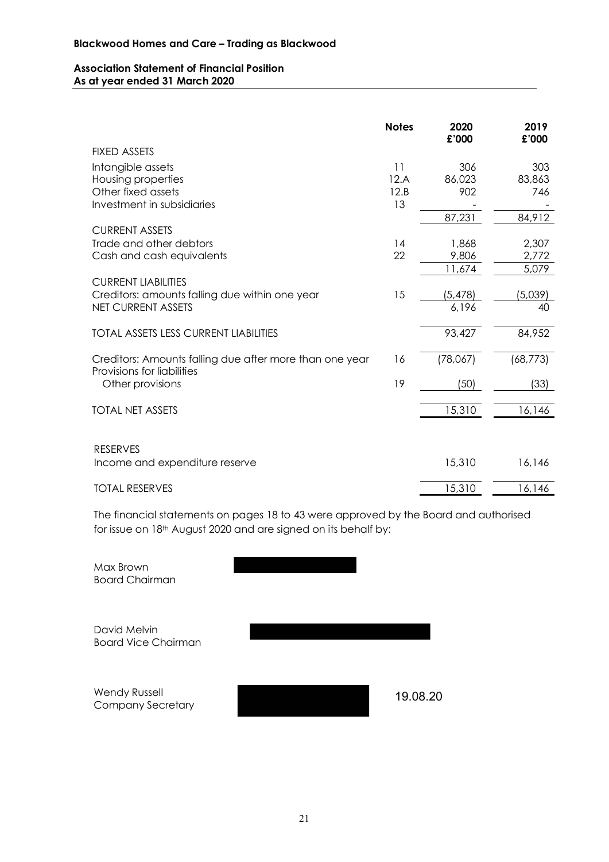#### **Association Statement of Financial Position As at year ended 31 March 2020**

|                                                                                       | <b>Notes</b> | 2020<br>£'000     | 2019<br>£'000 |
|---------------------------------------------------------------------------------------|--------------|-------------------|---------------|
| <b>FIXED ASSETS</b>                                                                   |              |                   |               |
| Intangible assets                                                                     | 11           | 306               | 303           |
| Housing properties                                                                    | 12.A         | 86,023            | 83,863        |
| Other fixed assets                                                                    | 12.B         | 902               | 746           |
| Investment in subsidiaries                                                            | 13           |                   |               |
|                                                                                       |              | 87,231            | 84,912        |
| <b>CURRENT ASSETS</b>                                                                 |              |                   |               |
| Trade and other debtors                                                               | 14           | 1,868             | 2,307         |
| Cash and cash equivalents                                                             | 22           | 9,806             | 2,772         |
|                                                                                       |              | 11,674            | 5,079         |
| <b>CURRENT LIABILITIES</b>                                                            | 15           |                   |               |
| Creditors: amounts falling due within one year<br><b>NET CURRENT ASSETS</b>           |              | (5, 478)<br>6,196 | (5,039)<br>40 |
|                                                                                       |              |                   |               |
| <b>TOTAL ASSETS LESS CURRENT LIABILITIES</b>                                          |              | 93,427            | 84,952        |
|                                                                                       |              |                   |               |
| Creditors: Amounts falling due after more than one year<br>Provisions for liabilities | 16           | (78,067)          | (68, 773)     |
| Other provisions                                                                      | 19           | (50)              | (33)          |
| <b>TOTAL NET ASSETS</b>                                                               |              | 15,310            | 16,146        |
|                                                                                       |              |                   |               |
|                                                                                       |              |                   |               |
| <b>RESERVES</b>                                                                       |              | 15,310            | 16,146        |
| Income and expenditure reserve                                                        |              |                   |               |
| <b>TOTAL RESERVES</b>                                                                 |              | 15,310            | 16,146        |

The financial statements on pages 18 to 43 were approved by the Board and authorised for issue on 18th August 2020 and are signed on its behalf by:

| Max Brown<br><b>Board Chairman</b>               |          |
|--------------------------------------------------|----------|
| David Melvin<br><b>Board Vice Chairman</b>       |          |
| <b>Wendy Russell</b><br><b>Company Secretary</b> | 19.08.20 |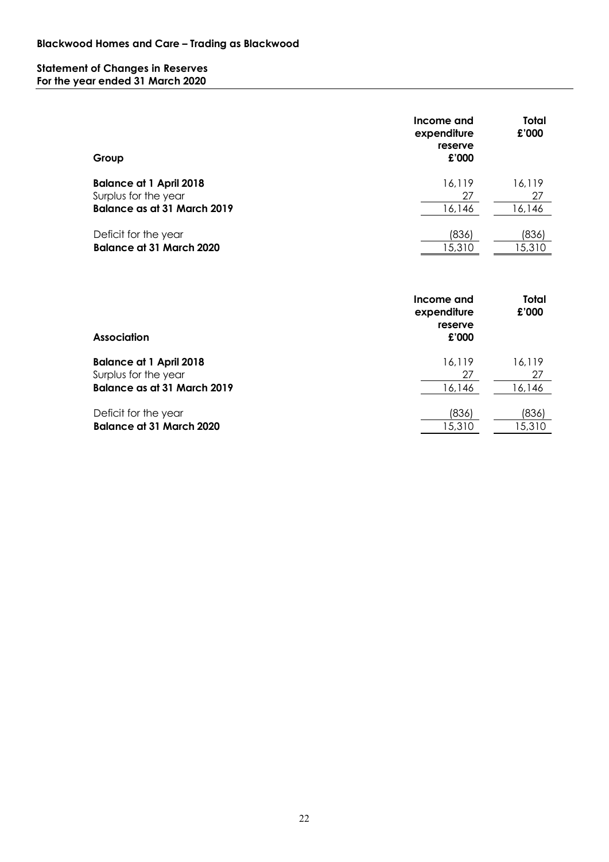#### **Statement of Changes in Reserves For the year ended 31 March 2020**

| Group                           | Income and<br>expenditure<br>reserve<br>£'000 | Total<br>£'000 |
|---------------------------------|-----------------------------------------------|----------------|
| <b>Balance at 1 April 2018</b>  | 16.119                                        | 16,119         |
| Surplus for the year            | 27                                            | 27             |
| Balance as at 31 March 2019     | 16,146                                        | 16,146         |
| Deficit for the year            | (836)                                         | (836)          |
| <b>Balance at 31 March 2020</b> | 15,310                                        | 15,310         |

| <b>Association</b>                 | Income and<br>expenditure<br>reserve<br>£'000 | Total<br>£'000 |
|------------------------------------|-----------------------------------------------|----------------|
| <b>Balance at 1 April 2018</b>     | 16,119                                        | 16.119         |
| Surplus for the year               | 27                                            | 27             |
| <b>Balance as at 31 March 2019</b> | 16,146                                        | 16,146         |
| Deficit for the year               | (836)                                         | (836)          |
| <b>Balance at 31 March 2020</b>    | 15,310                                        | 15,310         |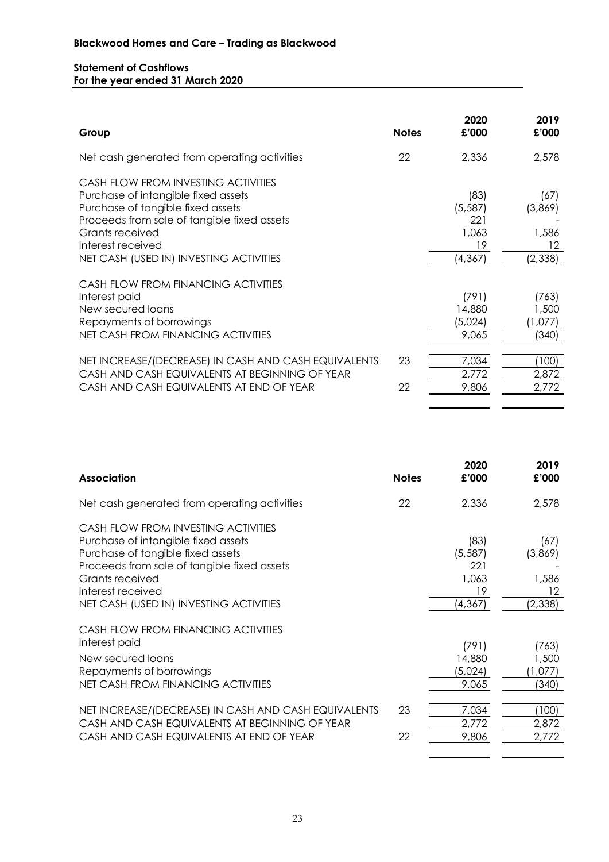## **Statement of Cashflows For the year ended 31 March 2020**

| Group                                                                                                                                                                                                                                             | <b>Notes</b> | 2020<br>£'000                                     | 2019<br>£'000                             |
|---------------------------------------------------------------------------------------------------------------------------------------------------------------------------------------------------------------------------------------------------|--------------|---------------------------------------------------|-------------------------------------------|
| Net cash generated from operating activities                                                                                                                                                                                                      | 22           | 2,336                                             | 2,578                                     |
| CASH FLOW FROM INVESTING ACTIVITIES<br>Purchase of intangible fixed assets<br>Purchase of tangible fixed assets<br>Proceeds from sale of tangible fixed assets<br>Grants received<br>Interest received<br>NET CASH (USED IN) INVESTING ACTIVITIES |              | (83)<br>(5, 587)<br>221<br>1,063<br>19<br>(4,367) | (67)<br>(3,869)<br>1,586<br>12<br>(2,338) |
| CASH FLOW FROM FINANCING ACTIVITIES<br>Interest paid<br>New secured loans<br>Repayments of borrowings<br>NET CASH FROM FINANCING ACTIVITIES                                                                                                       |              | (791)<br>14,880<br>(5,024)<br>9,065               | (763)<br>1,500<br>(1,077)<br>340)         |
| NET INCREASE/(DECREASE) IN CASH AND CASH EQUIVALENTS<br>CASH AND CASH EQUIVALENTS AT BEGINNING OF YEAR<br>CASH AND CASH EQUIVALENTS AT END OF YEAR                                                                                                | 23<br>22     | 7,034<br>2,772<br>9,806                           | (100)<br>2,872<br>2,772                   |

| <b>Association</b>                                                                                                                                                                                                                                | <b>Notes</b> | 2020<br>£'000                                      | 2019<br>£'000                             |
|---------------------------------------------------------------------------------------------------------------------------------------------------------------------------------------------------------------------------------------------------|--------------|----------------------------------------------------|-------------------------------------------|
| Net cash generated from operating activities                                                                                                                                                                                                      | 22           | 2,336                                              | 2,578                                     |
| CASH FLOW FROM INVESTING ACTIVITIES<br>Purchase of intangible fixed assets<br>Purchase of tangible fixed assets<br>Proceeds from sale of tangible fixed assets<br>Grants received<br>Interest received<br>NET CASH (USED IN) INVESTING ACTIVITIES |              | (83)<br>(5, 587)<br>221<br>1,063<br>19<br>(4, 367) | (67)<br>(3,869)<br>1,586<br>12<br>(2,338) |
| CASH FLOW FROM FINANCING ACTIVITIES<br>Interest paid<br>New secured loans<br>Repayments of borrowings<br><b>NET CASH FROM FINANCING ACTIVITIES</b>                                                                                                |              | (791)<br>14,880<br>(5,024)<br>9,065                | (763)<br>1,500<br>(1,077)<br>(340)        |
| NET INCREASE/(DECREASE) IN CASH AND CASH EQUIVALENTS<br>CASH AND CASH EQUIVALENTS AT BEGINNING OF YEAR<br>CASH AND CASH EQUIVALENTS AT END OF YEAR                                                                                                | 23<br>22     | 7,034<br>2,772<br>9,806                            | (100)<br>2,872<br>2,772                   |

- -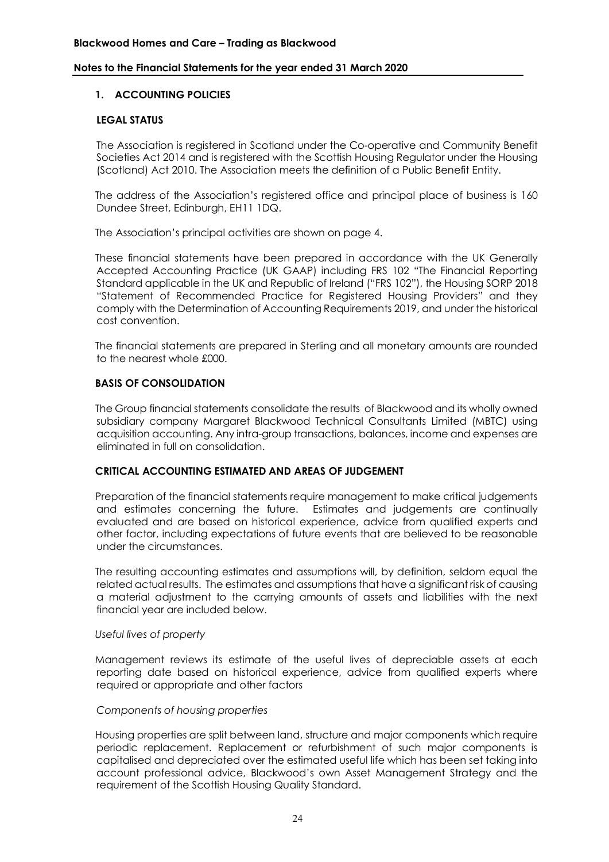## **1. ACCOUNTING POLICIES**

#### **LEGAL STATUS**

The Association is registered in Scotland under the Co-operative and Community Benefit Societies Act 2014 and is registered with the Scottish Housing Regulator under the Housing (Scotland) Act 2010. The Association meets the definition of a Public Benefit Entity.

The address of the Association's registered office and principal place of business is 160 Dundee Street, Edinburgh, EH11 1DQ.

The Association's principal activities are shown on page 4.

These financial statements have been prepared in accordance with the UK Generally Accepted Accounting Practice (UK GAAP) including FRS 102 "The Financial Reporting Standard applicable in the UK and Republic of Ireland ("FRS 102"), the Housing SORP 2018 "Statement of Recommended Practice for Registered Housing Providers" and they comply with the Determination of Accounting Requirements 2019, and under the historical cost convention.

The financial statements are prepared in Sterling and all monetary amounts are rounded to the nearest whole £000.

#### **BASIS OF CONSOLIDATION**

The Group financial statements consolidate the results of Blackwood and its wholly owned subsidiary company Margaret Blackwood Technical Consultants Limited (MBTC) using acquisition accounting. Any intra-group transactions, balances, income and expenses are eliminated in full on consolidation.

#### **CRITICAL ACCOUNTING ESTIMATED AND AREAS OF JUDGEMENT**

Preparation of the financial statements require management to make critical judgements and estimates concerning the future. Estimates and judgements are continually evaluated and are based on historical experience, advice from qualified experts and other factor, including expectations of future events that are believed to be reasonable under the circumstances.

The resulting accounting estimates and assumptions will, by definition, seldom equal the related actual results. The estimates and assumptions that have a significant risk of causing a material adjustment to the carrying amounts of assets and liabilities with the next financial year are included below.

#### *Useful lives of property*

Management reviews its estimate of the useful lives of depreciable assets at each reporting date based on historical experience, advice from qualified experts where required or appropriate and other factors

#### *Components of housing properties*

Housing properties are split between land, structure and major components which require periodic replacement. Replacement or refurbishment of such major components is capitalised and depreciated over the estimated useful life which has been set taking into account professional advice, Blackwood's own Asset Management Strategy and the requirement of the Scottish Housing Quality Standard.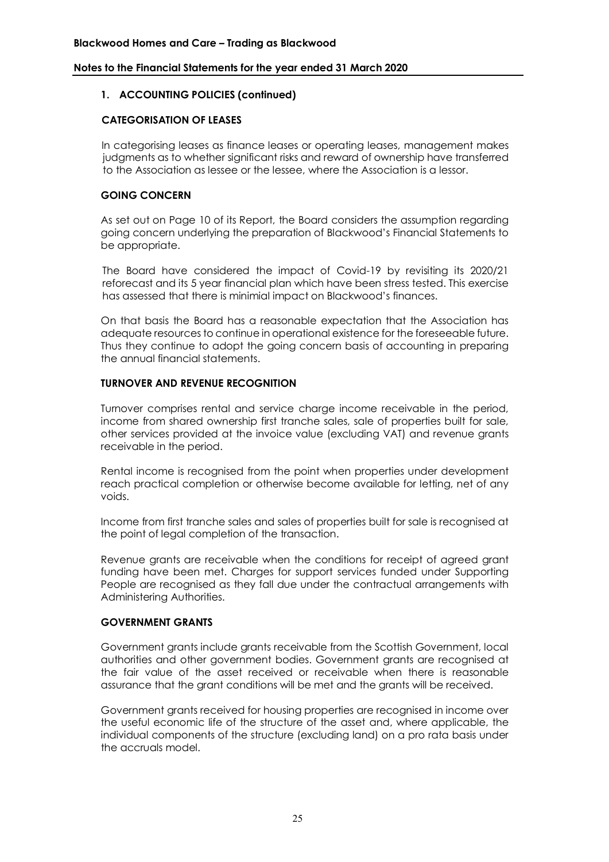## **1. ACCOUNTING POLICIES (continued)**

## **CATEGORISATION OF LEASES**

In categorising leases as finance leases or operating leases, management makes judgments as to whether significant risks and reward of ownership have transferred to the Association as lessee or the lessee, where the Association is a lessor.

## **GOING CONCERN**

As set out on Page 10 of its Report, the Board considers the assumption regarding going concern underlying the preparation of Blackwood's Financial Statements to be appropriate.

The Board have considered the impact of Covid-19 by revisiting its 2020/21 reforecast and its 5 year financial plan which have been stress tested. This exercise has assessed that there is minimial impact on Blackwood's finances.

On that basis the Board has a reasonable expectation that the Association has adequate resources to continue in operational existence for the foreseeable future. Thus they continue to adopt the going concern basis of accounting in preparing the annual financial statements.

#### **TURNOVER AND REVENUE RECOGNITION**

Turnover comprises rental and service charge income receivable in the period, income from shared ownership first tranche sales, sale of properties built for sale, other services provided at the invoice value (excluding VAT) and revenue grants receivable in the period.

Rental income is recognised from the point when properties under development reach practical completion or otherwise become available for letting, net of any voids.

Income from first tranche sales and sales of properties built for sale is recognised at the point of legal completion of the transaction.

Revenue grants are receivable when the conditions for receipt of agreed grant funding have been met. Charges for support services funded under Supporting People are recognised as they fall due under the contractual arrangements with Administering Authorities.

## **GOVERNMENT GRANTS**

Government grants include grants receivable from the Scottish Government, local authorities and other government bodies. Government grants are recognised at the fair value of the asset received or receivable when there is reasonable assurance that the grant conditions will be met and the grants will be received.

Government grants received for housing properties are recognised in income over the useful economic life of the structure of the asset and, where applicable, the individual components of the structure (excluding land) on a pro rata basis under the accruals model.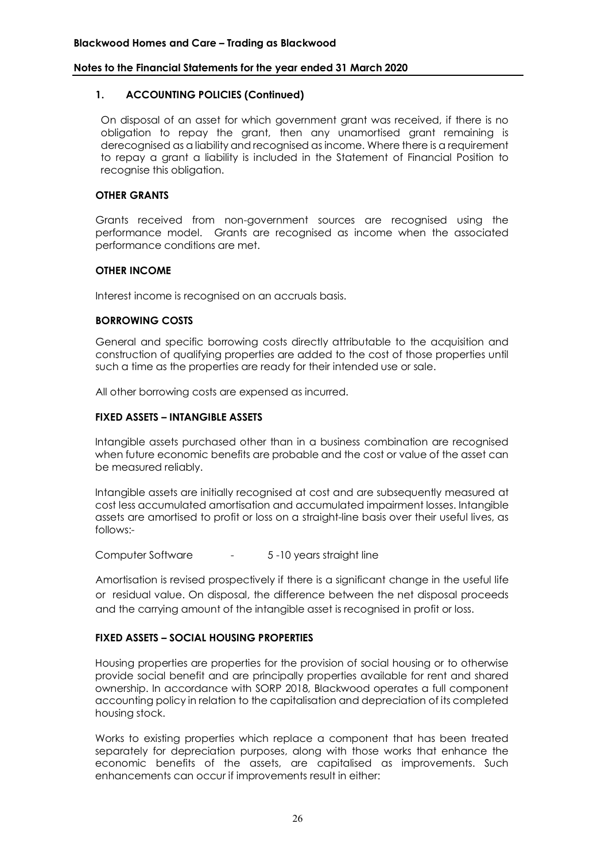#### **1. ACCOUNTING POLICIES (Continued)**

On disposal of an asset for which government grant was received, if there is no obligation to repay the grant, then any unamortised grant remaining is derecognised as a liability and recognised as income. Where there is a requirement to repay a grant a liability is included in the Statement of Financial Position to recognise this obligation.

## **OTHER GRANTS**

Grants received from non-government sources are recognised using the performance model. Grants are recognised as income when the associated performance conditions are met.

#### **OTHER INCOME**

Interest income is recognised on an accruals basis.

## **BORROWING COSTS**

General and specific borrowing costs directly attributable to the acquisition and construction of qualifying properties are added to the cost of those properties until such a time as the properties are ready for their intended use or sale.

All other borrowing costs are expensed as incurred.

## **FIXED ASSETS – INTANGIBLE ASSETS**

Intangible assets purchased other than in a business combination are recognised when future economic benefits are probable and the cost or value of the asset can be measured reliably.

Intangible assets are initially recognised at cost and are subsequently measured at cost less accumulated amortisation and accumulated impairment losses. Intangible assets are amortised to profit or loss on a straight-line basis over their useful lives, as follows:-

Computer Software - 5 -10 years straight line

Amortisation is revised prospectively if there is a significant change in the useful life or residual value. On disposal, the difference between the net disposal proceeds and the carrying amount of the intangible asset is recognised in profit or loss.

## **FIXED ASSETS – SOCIAL HOUSING PROPERTIES**

Housing properties are properties for the provision of social housing or to otherwise provide social benefit and are principally properties available for rent and shared ownership. In accordance with SORP 2018, Blackwood operates a full component accounting policy in relation to the capitalisation and depreciation of its completed housing stock.

Works to existing properties which replace a component that has been treated separately for depreciation purposes, along with those works that enhance the economic benefits of the assets, are capitalised as improvements. Such enhancements can occur if improvements result in either: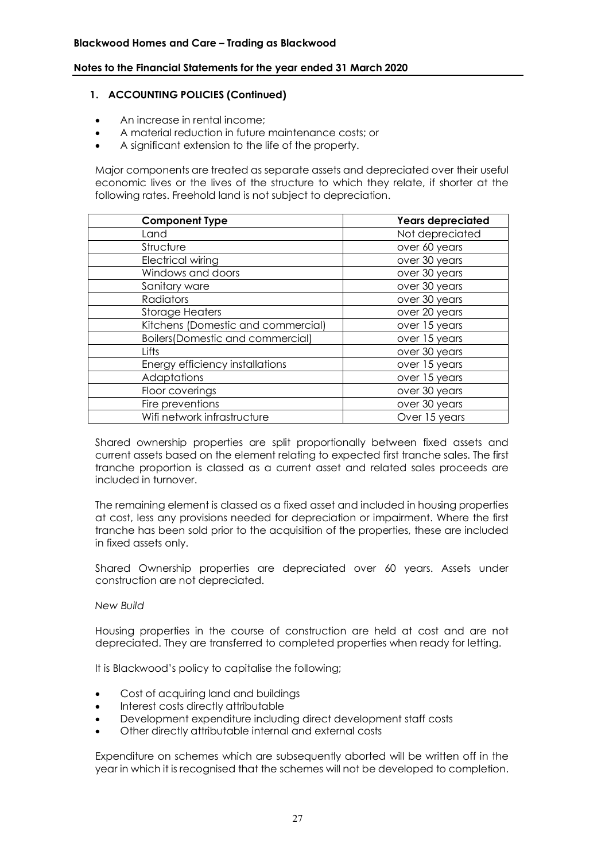#### **1. ACCOUNTING POLICIES (Continued)**

- An increase in rental income;
- A material reduction in future maintenance costs; or
- A significant extension to the life of the property.

Major components are treated as separate assets and depreciated over their useful economic lives or the lives of the structure to which they relate, if shorter at the following rates. Freehold land is not subject to depreciation.

| <b>Component Type</b>              | Years depreciated |
|------------------------------------|-------------------|
| Land                               | Not depreciated   |
| Structure                          | over 60 years     |
| <b>Electrical wiring</b>           | over 30 years     |
| Windows and doors                  | over 30 years     |
| Sanitary ware                      | over 30 years     |
| <b>Radiators</b>                   | over 30 years     |
| <b>Storage Heaters</b>             | over 20 years     |
| Kitchens (Domestic and commercial) | over 15 years     |
| Boilers (Domestic and commercial)  | over 15 years     |
| Lifts                              | over 30 years     |
| Energy efficiency installations    | over 15 years     |
| Adaptations                        | over 15 years     |
| Floor coverings                    | over 30 years     |
| Fire preventions                   | over 30 years     |
| Wifi network infrastructure        | Over 15 years     |

Shared ownership properties are split proportionally between fixed assets and current assets based on the element relating to expected first tranche sales. The first tranche proportion is classed as a current asset and related sales proceeds are included in turnover.

The remaining element is classed as a fixed asset and included in housing properties at cost, less any provisions needed for depreciation or impairment. Where the first tranche has been sold prior to the acquisition of the properties, these are included in fixed assets only.

Shared Ownership properties are depreciated over 60 years. Assets under construction are not depreciated.

#### *New Build*

Housing properties in the course of construction are held at cost and are not depreciated. They are transferred to completed properties when ready for letting.

It is Blackwood's policy to capitalise the following;

- Cost of acquiring land and buildings
- Interest costs directly attributable
- Development expenditure including direct development staff costs
- Other directly attributable internal and external costs

Expenditure on schemes which are subsequently aborted will be written off in the year in which it is recognised that the schemes will not be developed to completion.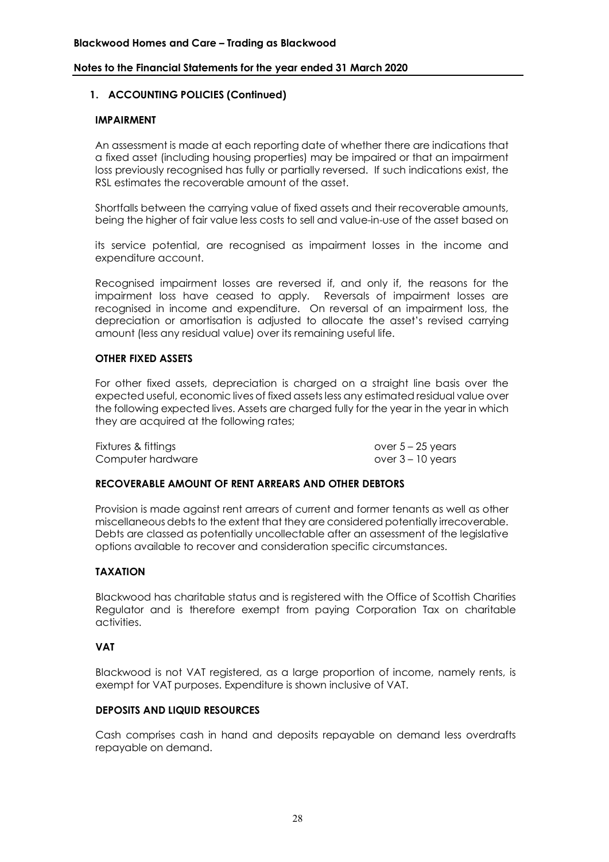## **1. ACCOUNTING POLICIES (Continued)**

#### **IMPAIRMENT**

An assessment is made at each reporting date of whether there are indications that a fixed asset (including housing properties) may be impaired or that an impairment loss previously recognised has fully or partially reversed. If such indications exist, the RSL estimates the recoverable amount of the asset.

Shortfalls between the carrying value of fixed assets and their recoverable amounts, being the higher of fair value less costs to sell and value-in-use of the asset based on

its service potential, are recognised as impairment losses in the income and expenditure account.

Recognised impairment losses are reversed if, and only if, the reasons for the impairment loss have ceased to apply. Reversals of impairment losses are recognised in income and expenditure. On reversal of an impairment loss, the depreciation or amortisation is adjusted to allocate the asset's revised carrying amount (less any residual value) over its remaining useful life.

#### **OTHER FIXED ASSETS**

For other fixed assets, depreciation is charged on a straight line basis over the expected useful, economic lives of fixed assets less any estimated residual value over the following expected lives. Assets are charged fully for the year in the year in which they are acquired at the following rates;

Fixtures & fittings over 5 – 25 years Computer hardware **computer hardware** over 3 – 10 years

#### **RECOVERABLE AMOUNT OF RENT ARREARS AND OTHER DEBTORS**

Provision is made against rent arrears of current and former tenants as well as other miscellaneous debts to the extent that they are considered potentially irrecoverable. Debts are classed as potentially uncollectable after an assessment of the legislative options available to recover and consideration specific circumstances.

#### **TAXATION**

Blackwood has charitable status and is registered with the Office of Scottish Charities Regulator and is therefore exempt from paying Corporation Tax on charitable activities.

#### **VAT**

Blackwood is not VAT registered, as a large proportion of income, namely rents, is exempt for VAT purposes. Expenditure is shown inclusive of VAT.

#### **DEPOSITS AND LIQUID RESOURCES**

Cash comprises cash in hand and deposits repayable on demand less overdrafts repayable on demand.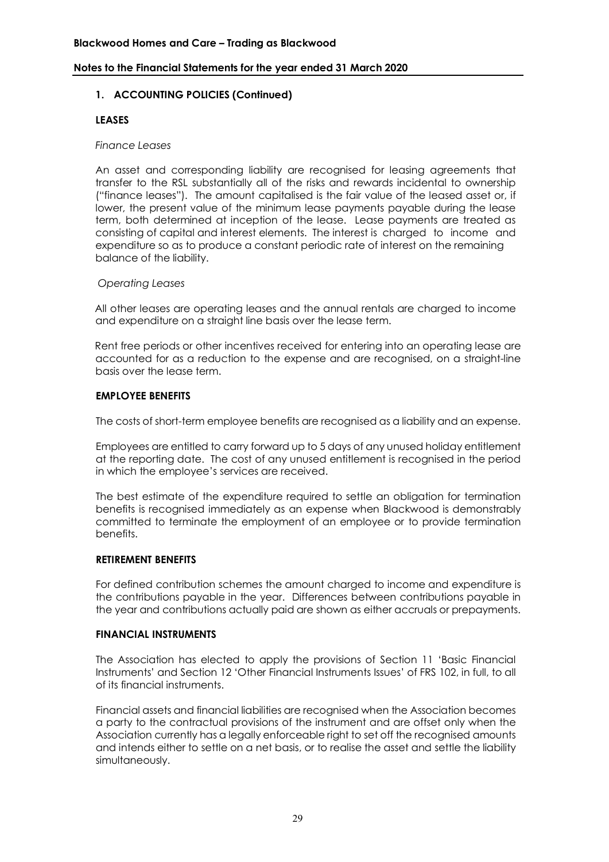## **1. ACCOUNTING POLICIES (Continued)**

#### **LEASES**

#### *Finance Leases*

An asset and corresponding liability are recognised for leasing agreements that transfer to the RSL substantially all of the risks and rewards incidental to ownership ("finance leases"). The amount capitalised is the fair value of the leased asset or, if lower, the present value of the minimum lease payments payable during the lease term, both determined at inception of the lease. Lease payments are treated as consisting of capital and interest elements. The interest is charged to income and expenditure so as to produce a constant periodic rate of interest on the remaining balance of the liability.

#### *Operating Leases*

All other leases are operating leases and the annual rentals are charged to income and expenditure on a straight line basis over the lease term.

Rent free periods or other incentives received for entering into an operating lease are accounted for as a reduction to the expense and are recognised, on a straight-line basis over the lease term.

#### **EMPLOYEE BENEFITS**

The costs of short-term employee benefits are recognised as a liability and an expense.

Employees are entitled to carry forward up to 5 days of any unused holiday entitlement at the reporting date. The cost of any unused entitlement is recognised in the period in which the employee's services are received.

The best estimate of the expenditure required to settle an obligation for termination benefits is recognised immediately as an expense when Blackwood is demonstrably committed to terminate the employment of an employee or to provide termination benefits.

#### **RETIREMENT BENEFITS**

For defined contribution schemes the amount charged to income and expenditure is the contributions payable in the year. Differences between contributions payable in the year and contributions actually paid are shown as either accruals or prepayments.

#### **FINANCIAL INSTRUMENTS**

The Association has elected to apply the provisions of Section 11 'Basic Financial Instruments' and Section 12 'Other Financial Instruments Issues' of FRS 102, in full, to all of its financial instruments.

Financial assets and financial liabilities are recognised when the Association becomes a party to the contractual provisions of the instrument and are offset only when the Association currently has a legally enforceable right to set off the recognised amounts and intends either to settle on a net basis, or to realise the asset and settle the liability simultaneously.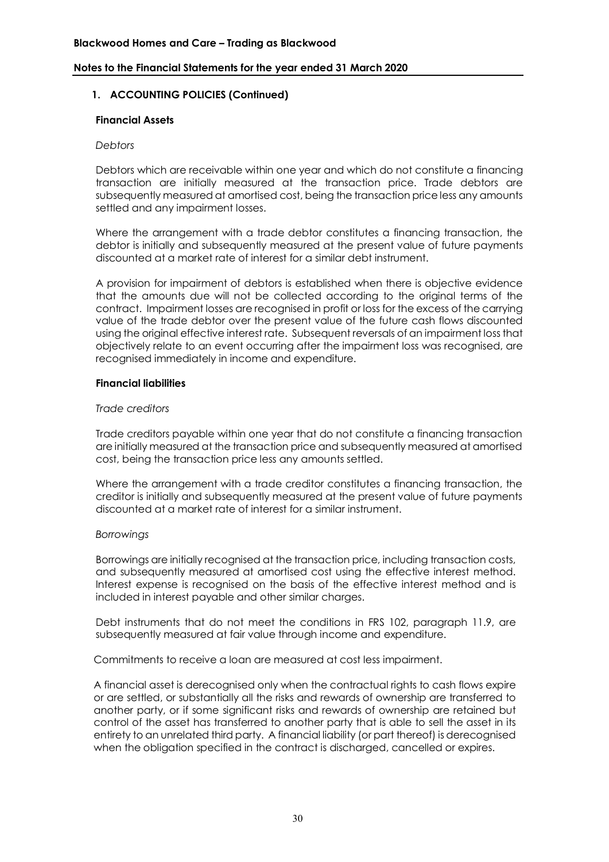## **1. ACCOUNTING POLICIES (Continued)**

#### **Financial Assets**

#### *Debtors*

Debtors which are receivable within one year and which do not constitute a financing transaction are initially measured at the transaction price. Trade debtors are subsequently measured at amortised cost, being the transaction price less any amounts settled and any impairment losses.

Where the arrangement with a trade debtor constitutes a financing transaction, the debtor is initially and subsequently measured at the present value of future payments discounted at a market rate of interest for a similar debt instrument.

A provision for impairment of debtors is established when there is objective evidence that the amounts due will not be collected according to the original terms of the contract. Impairment losses are recognised in profit or loss for the excess of the carrying value of the trade debtor over the present value of the future cash flows discounted using the original effective interest rate. Subsequent reversals of an impairment loss that objectively relate to an event occurring after the impairment loss was recognised, are recognised immediately in income and expenditure.

#### **Financial liabilities**

#### *Trade creditors*

Trade creditors payable within one year that do not constitute a financing transaction are initially measured at the transaction price and subsequently measured at amortised cost, being the transaction price less any amounts settled.

Where the arrangement with a trade creditor constitutes a financing transaction, the creditor is initially and subsequently measured at the present value of future payments discounted at a market rate of interest for a similar instrument.

#### *Borrowings*

Borrowings are initially recognised at the transaction price, including transaction costs, and subsequently measured at amortised cost using the effective interest method. Interest expense is recognised on the basis of the effective interest method and is included in interest payable and other similar charges.

Debt instruments that do not meet the conditions in FRS 102, paragraph 11.9, are subsequently measured at fair value through income and expenditure.

Commitments to receive a loan are measured at cost less impairment.

A financial asset is derecognised only when the contractual rights to cash flows expire or are settled, or substantially all the risks and rewards of ownership are transferred to another party, or if some significant risks and rewards of ownership are retained but control of the asset has transferred to another party that is able to sell the asset in its entirety to an unrelated third party. A financial liability (or part thereof) is derecognised when the obligation specified in the contract is discharged, cancelled or expires.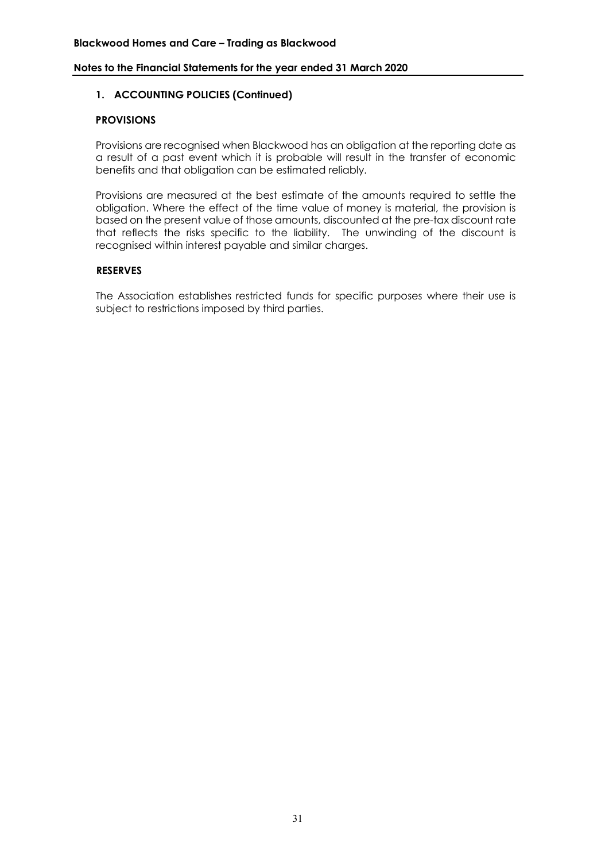## **1. ACCOUNTING POLICIES (Continued)**

## **PROVISIONS**

Provisions are recognised when Blackwood has an obligation at the reporting date as a result of a past event which it is probable will result in the transfer of economic benefits and that obligation can be estimated reliably.

Provisions are measured at the best estimate of the amounts required to settle the obligation. Where the effect of the time value of money is material, the provision is based on the present value of those amounts, discounted at the pre-tax discount rate that reflects the risks specific to the liability. The unwinding of the discount is recognised within interest payable and similar charges.

#### **RESERVES**

The Association establishes restricted funds for specific purposes where their use is subject to restrictions imposed by third parties.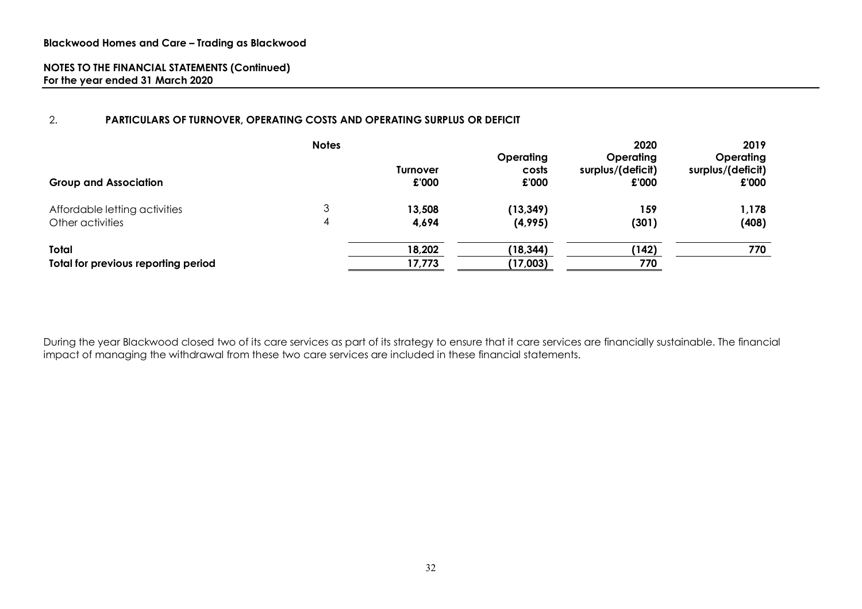## 2. **PARTICULARS OF TURNOVER, OPERATING COSTS AND OPERATING SURPLUS OR DEFICIT**

| <b>Group and Association</b>        | <b>Notes</b> | <b>Turnover</b><br>£'000 | Operating<br>costs<br>£'000 | 2020<br>Operating<br>surplus/(deficit)<br>£'000 | 2019<br><b>Operating</b><br>surplus/(deficit)<br>£'000 |
|-------------------------------------|--------------|--------------------------|-----------------------------|-------------------------------------------------|--------------------------------------------------------|
| Affordable letting activities       |              | 13,508                   | (13, 349)                   | 159                                             | 1,178                                                  |
| Other activities                    | 4            | 4,694                    | (4,995)                     | (301)                                           | (408)                                                  |
| Total                               |              | 18,202                   | (18, 344)                   | (142)                                           | 770                                                    |
| Total for previous reporting period |              | 17,773                   | (17,003)                    | 770                                             |                                                        |

During the year Blackwood closed two of its care services as part of its strategy to ensure that it care services are financially sustainable. The financial impact of managing the withdrawal from these two care services are included in these financial statements.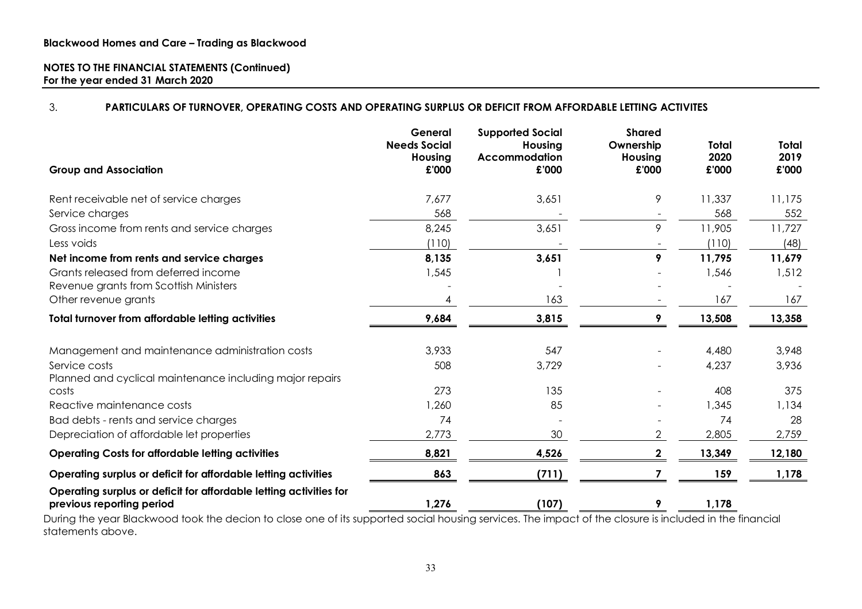## 3. **PARTICULARS OF TURNOVER, OPERATING COSTS AND OPERATING SURPLUS OR DEFICIT FROM AFFORDABLE LETTING ACTIVITES**

| <b>Group and Association</b>                                                                    | General<br><b>Needs Social</b><br>Housing<br>£'000 | <b>Supported Social</b><br>Housing<br><b>Accommodation</b><br>£'000 | <b>Shared</b><br>Ownership<br>Housing<br>£'000 | <b>Total</b><br>2020<br>£'000 | Total<br>2019<br>£'000 |
|-------------------------------------------------------------------------------------------------|----------------------------------------------------|---------------------------------------------------------------------|------------------------------------------------|-------------------------------|------------------------|
| Rent receivable net of service charges                                                          | 7,677                                              | 3,651                                                               | 9                                              | 11,337                        | 11,175                 |
| Service charges                                                                                 | 568                                                |                                                                     |                                                | 568                           | 552                    |
| Gross income from rents and service charges                                                     | 8,245                                              | 3,651                                                               | 9                                              | 11,905                        | 11,727                 |
| Less voids                                                                                      | (110)                                              |                                                                     |                                                | (110)                         | (48)                   |
| Net income from rents and service charges                                                       | 8,135                                              | 3,651                                                               | 9                                              | 11,795                        | 11,679                 |
| Grants released from deferred income                                                            | 1,545                                              |                                                                     |                                                | 1,546                         | 1,512                  |
| Revenue grants from Scottish Ministers                                                          |                                                    |                                                                     |                                                |                               |                        |
| Other revenue grants                                                                            | 4                                                  | 163                                                                 |                                                | 167                           | 167                    |
| <b>Total turnover from affordable letting activities</b>                                        | 9,684                                              | 3,815                                                               | 9                                              | 13,508                        | 13,358                 |
| Management and maintenance administration costs                                                 | 3,933                                              | 547                                                                 |                                                | 4,480                         | 3,948                  |
| Service costs                                                                                   | 508                                                | 3,729                                                               |                                                | 4,237                         | 3,936                  |
| Planned and cyclical maintenance including major repairs                                        | 273                                                | 135                                                                 |                                                | 408                           | 375                    |
| costs<br>Reactive maintenance costs                                                             | 1,260                                              | 85                                                                  |                                                | 1,345                         | 1,134                  |
|                                                                                                 | 74                                                 |                                                                     |                                                | 74                            | 28                     |
| Bad debts - rents and service charges<br>Depreciation of affordable let properties              | 2,773                                              | 30                                                                  |                                                | 2,805                         | 2,759                  |
|                                                                                                 |                                                    |                                                                     |                                                |                               |                        |
| <b>Operating Costs for affordable letting activities</b>                                        | 8,821                                              | 4,526                                                               | $\overline{\mathbf{2}}$                        | 13,349                        | 12,180                 |
| Operating surplus or deficit for affordable letting activities                                  | 863                                                | (711)                                                               | 7                                              | 159                           | 1,178                  |
| Operating surplus or deficit for affordable letting activities for<br>previous reporting period | 1,276                                              | (107)                                                               | 9                                              | 1,178                         |                        |

During the year Blackwood took the decion to close one of its supported social housing services. The impact of the closure is included in the financial statements above.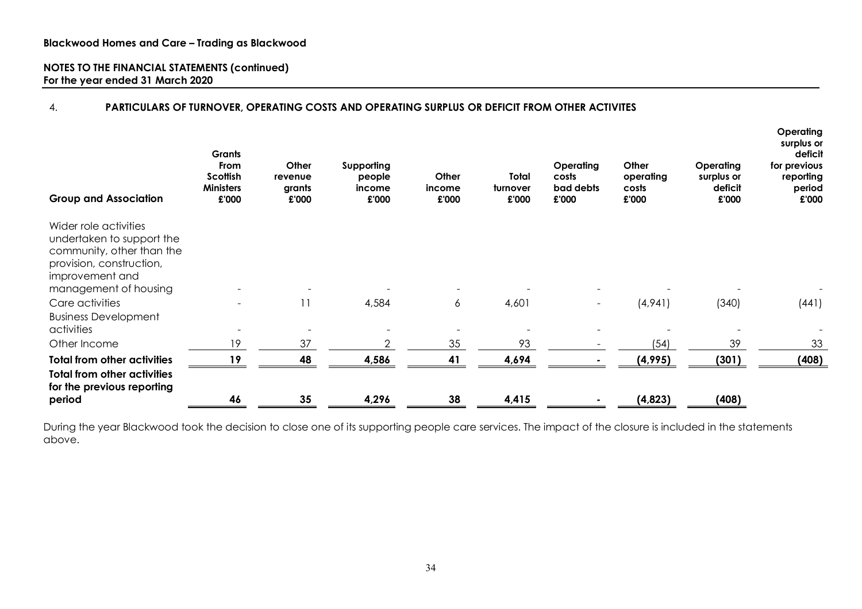## 4. **PARTICULARS OF TURNOVER, OPERATING COSTS AND OPERATING SURPLUS OR DEFICIT FROM OTHER ACTIVITES**

| <b>Group and Association</b>                                                                                                                            | Grants<br>From<br>Scottish<br><b>Ministers</b><br>£'000 | Other<br>revenue<br>grants<br>£'000 | Supporting<br>people<br>income<br>£'000 | Other<br>income<br>£'000 | Total<br>turnover<br>£'000 | Operating<br>costs<br>bad debts<br>£'000 | Other<br>operating<br>costs<br>£'000 | <b>Operating</b><br>surplus or<br>deficit<br>£'000 | Operating<br>surplus or<br>deficit<br>for previous<br>reporting<br>period<br>£'000 |
|---------------------------------------------------------------------------------------------------------------------------------------------------------|---------------------------------------------------------|-------------------------------------|-----------------------------------------|--------------------------|----------------------------|------------------------------------------|--------------------------------------|----------------------------------------------------|------------------------------------------------------------------------------------|
| Wider role activities<br>undertaken to support the<br>community, other than the<br>provision, construction,<br>improvement and<br>management of housing |                                                         |                                     |                                         |                          |                            |                                          |                                      |                                                    |                                                                                    |
| Care activities                                                                                                                                         |                                                         | 11                                  | 4,584                                   | 6                        | 4,601                      |                                          | (4,94]                               | (340)                                              | (441)                                                                              |
| <b>Business Development</b>                                                                                                                             |                                                         |                                     |                                         |                          |                            |                                          |                                      |                                                    |                                                                                    |
| activities                                                                                                                                              |                                                         |                                     |                                         |                          |                            |                                          |                                      |                                                    |                                                                                    |
| Other Income                                                                                                                                            | 19                                                      | 37                                  | $\overline{2}$                          | 35                       | 93                         |                                          | (54)                                 | 39                                                 | 33                                                                                 |
| <b>Total from other activities</b>                                                                                                                      | 19                                                      | 48                                  | 4,586                                   | 41                       | 4,694                      |                                          | (4,995)                              | (301)                                              | (408)                                                                              |
| <b>Total from other activities</b><br>for the previous reporting                                                                                        |                                                         |                                     |                                         |                          |                            |                                          |                                      |                                                    |                                                                                    |
| period                                                                                                                                                  | 46                                                      | 35                                  | 4,296                                   | 38                       | 4,415                      |                                          | (4,823)                              | (408)                                              |                                                                                    |

During the year Blackwood took the decision to close one of its supporting people care services. The impact of the closure is included in the statements above.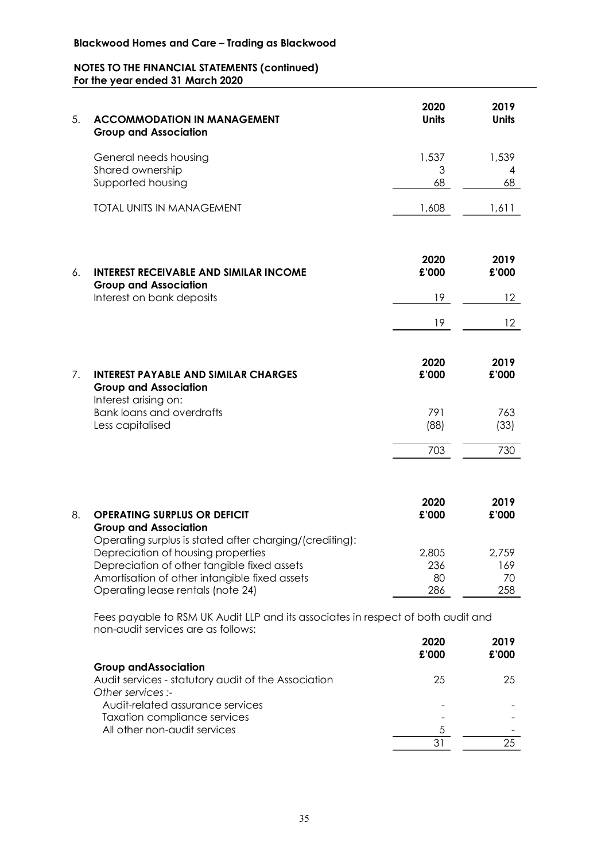# **Blackwood Homes and Care – Trading as Blackwood**

## **NOTES TO THE FINANCIAL STATEMENTS (continued) For the year ended 31 March 2020**

| 5. | <b>ACCOMMODATION IN MANAGEMENT</b><br><b>Group and Association</b>                                                                                                                                                                 | 2020<br><b>Units</b>      | 2019<br><b>Units</b>      |
|----|------------------------------------------------------------------------------------------------------------------------------------------------------------------------------------------------------------------------------------|---------------------------|---------------------------|
|    | General needs housing<br>Shared ownership<br>Supported housing                                                                                                                                                                     | 1,537<br>3<br>68          | 1,539<br>4<br>68          |
|    | <b>TOTAL UNITS IN MANAGEMENT</b>                                                                                                                                                                                                   | 1,608                     | 1,611                     |
| 6. | <b>INTEREST RECEIVABLE AND SIMILAR INCOME</b><br><b>Group and Association</b>                                                                                                                                                      | 2020<br>£'000             | 2019<br>£'000             |
|    | Interest on bank deposits                                                                                                                                                                                                          | 19                        | 12 <sup>°</sup>           |
|    |                                                                                                                                                                                                                                    | 19                        | 12                        |
| 7. | <b>INTEREST PAYABLE AND SIMILAR CHARGES</b><br><b>Group and Association</b><br>Interest arising on:                                                                                                                                | 2020<br>£'000             | 2019<br>£'000             |
|    | <b>Bank loans and overdrafts</b><br>Less capitalised                                                                                                                                                                               | 791<br>(88)               | 763<br>(33)               |
|    |                                                                                                                                                                                                                                    | 703                       | 730                       |
| 8. | <b>OPERATING SURPLUS OR DEFICIT</b><br><b>Group and Association</b>                                                                                                                                                                | 2020<br>£'000             | 2019<br>£'000             |
|    | Operating surplus is stated after charging/(crediting):<br>Depreciation of housing properties<br>Depreciation of other tangible fixed assets<br>Amortisation of other intangible fixed assets<br>Operating lease rentals (note 24) | 2,805<br>236<br>80<br>286 | 2,759<br>169<br>70<br>258 |
|    | Fees payable to RSM UK Audit LLP and its associates in respect of both audit and<br>non-audit services are as follows:                                                                                                             | 2020                      | 2019                      |

|                                                     | £'000 | £'000 |
|-----------------------------------------------------|-------|-------|
| <b>Group and Association</b>                        |       |       |
| Audit services - statutory audit of the Association | 25    | 25    |
| Other services :-                                   |       |       |
| Audit-related assurance services                    |       |       |
| <b>Taxation compliance services</b>                 |       |       |
| All other non-audit services                        |       |       |
|                                                     |       |       |
|                                                     |       |       |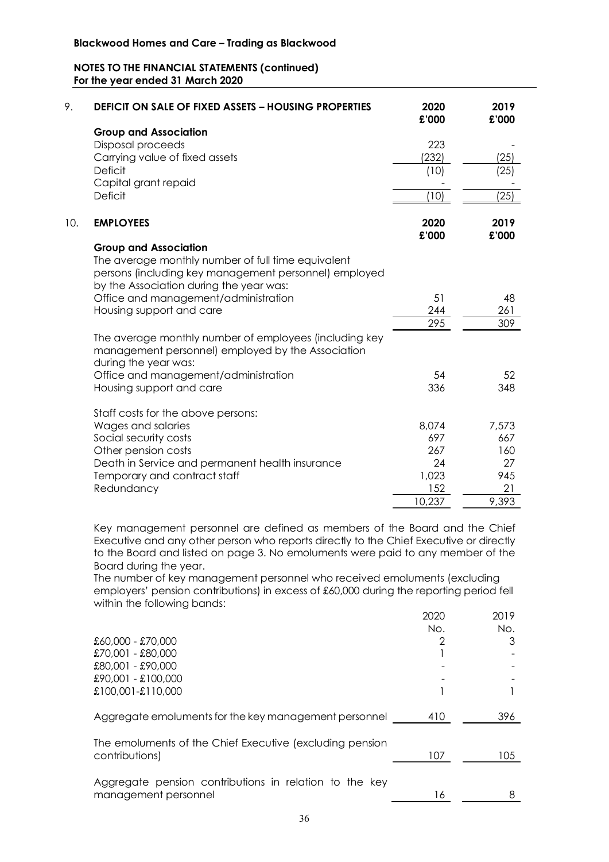| 9.  | <b>DEFICIT ON SALE OF FIXED ASSETS - HOUSING PROPERTIES</b> | 2020<br>£'000 | 2019<br>£'000 |
|-----|-------------------------------------------------------------|---------------|---------------|
|     | <b>Group and Association</b>                                |               |               |
|     | Disposal proceeds                                           | 223           |               |
|     | Carrying value of fixed assets                              | (232)         | (25)          |
|     | <b>Deficit</b>                                              | (10)          | (25)          |
|     | Capital grant repaid                                        |               |               |
|     | <b>Deficit</b>                                              | (10)          | (25)          |
| 10. | <b>EMPLOYEES</b>                                            | 2020<br>£'000 | 2019<br>£'000 |
|     | <b>Group and Association</b>                                |               |               |
|     | The average monthly number of full time equivalent          |               |               |
|     | persons (including key management personnel) employed       |               |               |
|     | by the Association during the year was:                     |               |               |
|     | Office and management/administration                        | 51            | 48            |
|     | Housing support and care                                    | 244           | 261           |
|     |                                                             | 295           | 309           |
|     | The average monthly number of employees (including key      |               |               |
|     | management personnel) employed by the Association           |               |               |
|     | during the year was:                                        |               |               |
|     | Office and management/administration                        | 54            | 52            |
|     | Housing support and care                                    | 336           | 348           |
|     |                                                             |               |               |
|     | Staff costs for the above persons:                          |               |               |
|     | Wages and salaries                                          | 8,074         | 7,573         |
|     | Social security costs                                       | 697           | 667           |
|     | Other pension costs                                         | 267           | 160           |
|     | Death in Service and permanent health insurance             | 24            | 27            |
|     | Temporary and contract staff                                | 1,023         | 945           |
|     | Redundancy                                                  | 152           | 21            |
|     |                                                             | 10,237        | 9,393         |

Key management personnel are defined as members of the Board and the Chief Executive and any other person who reports directly to the Chief Executive or directly to the Board and listed on page 3. No emoluments were paid to any member of the Board during the year.

The number of key management personnel who received emoluments (excluding employers' pension contributions) in excess of £60,000 during the reporting period fell within the following bands:

|                                                          | 2020 | 2019 |
|----------------------------------------------------------|------|------|
|                                                          | No.  | No.  |
| £60,000 - £70,000                                        |      | 3    |
| £70,001 - £80,000                                        |      |      |
| £80,001 - £90,000                                        |      |      |
| £90,001 - £100,000                                       |      |      |
| £100,001-£110,000                                        |      |      |
| Aggregate emoluments for the key management personnel    | 410  | 396  |
| The emoluments of the Chief Executive (excluding pension |      |      |
| contributions)                                           | 107  | 105  |
|                                                          |      |      |
| Aggregate pension contributions in relation to the key   |      |      |
| management personnel                                     | 16   |      |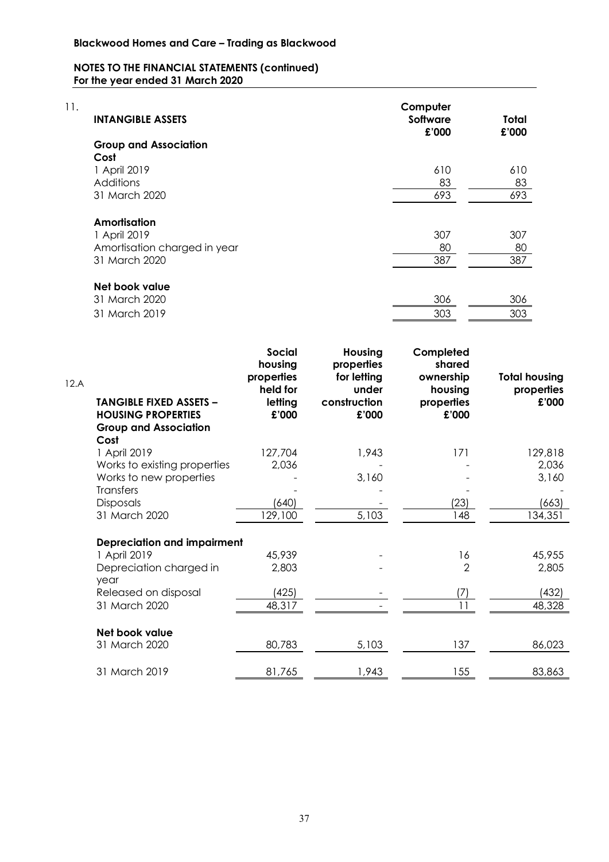| 11. | <b>INTANGIBLE ASSETS</b>     | Computer<br>Software<br>£'000 | Total<br>£'000 |  |
|-----|------------------------------|-------------------------------|----------------|--|
|     | <b>Group and Association</b> |                               |                |  |
|     | Cost                         |                               |                |  |
|     | 1 April 2019                 | 610                           | 610            |  |
|     | <b>Additions</b>             | 83                            | 83             |  |
|     | 31 March 2020                | 693                           | 693            |  |
|     | Amortisation                 |                               |                |  |
|     | 1 April 2019                 | 307                           | 307            |  |
|     | Amortisation charged in year | 80                            | 80             |  |
|     | 31 March 2020                | 387                           | 387            |  |
|     | Net book value               |                               |                |  |
|     | $31$ March 2020              | ふして                           | ふして            |  |

| 31 March 2020 | 306 | 306 |
|---------------|-----|-----|
| 31 March 2019 | 303 | 303 |

| 12.A | <b>TANGIBLE FIXED ASSETS -</b><br><b>HOUSING PROPERTIES</b><br><b>Group and Association</b> | <b>Social</b><br>housing<br>properties<br>held for<br>letting<br>£'000 | Housing<br>properties<br>for letting<br>under<br>construction<br>£'000 | Completed<br>shared<br>ownership<br>housing<br>properties<br>£'000 | <b>Total housing</b><br>properties<br>£'000 |
|------|---------------------------------------------------------------------------------------------|------------------------------------------------------------------------|------------------------------------------------------------------------|--------------------------------------------------------------------|---------------------------------------------|
|      | Cost<br>1 April 2019                                                                        | 127,704                                                                | 1,943                                                                  | 171                                                                | 129,818                                     |
|      | Works to existing properties                                                                | 2,036                                                                  |                                                                        |                                                                    | 2,036                                       |
|      | Works to new properties                                                                     |                                                                        | 3,160                                                                  |                                                                    | 3,160                                       |
|      | Transfers                                                                                   |                                                                        |                                                                        |                                                                    |                                             |
|      | <b>Disposals</b>                                                                            | (640)                                                                  |                                                                        | (23)                                                               | (663)                                       |
|      | 31 March 2020                                                                               | 129,100                                                                | 5,103                                                                  | 148                                                                | 134,351                                     |
|      | <b>Depreciation and impairment</b>                                                          |                                                                        |                                                                        |                                                                    |                                             |
|      | 1 April 2019                                                                                | 45,939                                                                 |                                                                        | 16                                                                 | 45,955                                      |
|      | Depreciation charged in<br>year                                                             | 2,803                                                                  |                                                                        | $\overline{2}$                                                     | 2,805                                       |
|      | Released on disposal                                                                        | (425)                                                                  |                                                                        | (7)                                                                | (432)                                       |
|      | 31 March 2020                                                                               | 48,317                                                                 |                                                                        | 11                                                                 | 48,328                                      |
|      | Net book value                                                                              |                                                                        |                                                                        |                                                                    |                                             |
|      | 31 March 2020                                                                               | 80,783                                                                 | 5,103                                                                  | 137                                                                | 86,023                                      |
|      | 31 March 2019                                                                               | 81,765                                                                 | 1,943                                                                  | 155                                                                | 83,863                                      |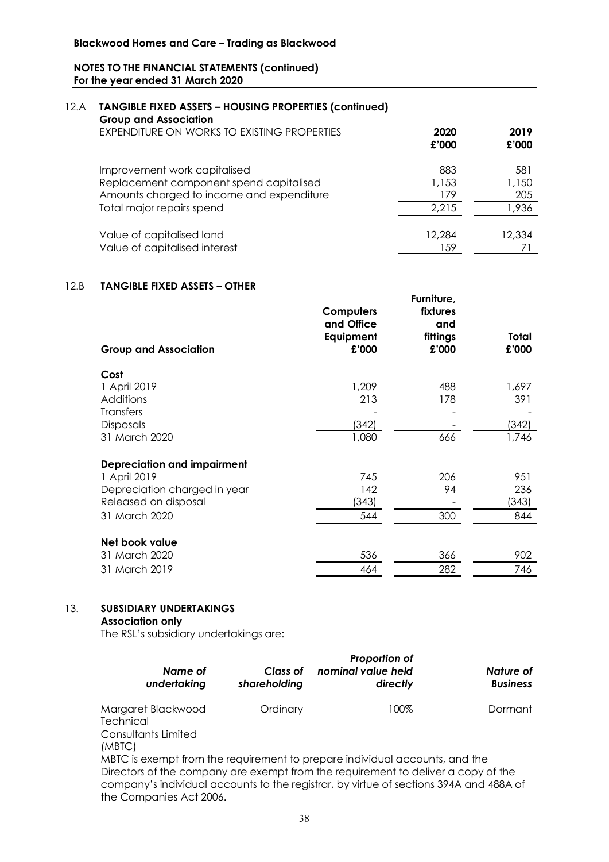#### 12.A **TANGIBLE FIXED ASSETS – HOUSING PROPERTIES (continued) Group and Association**

| Group and Association                                      | 2020          | 2019   |
|------------------------------------------------------------|---------------|--------|
| EXPENDITURE ON WORKS TO EXISTING PROPERTIES                | £'000         | £'000  |
| Improvement work capitalised                               | 883           | 581    |
| Replacement component spend capitalised                    | 1,153         | 1,150  |
| Amounts charged to income and expenditure                  | 179           | 205    |
| Total major repairs spend                                  | 2,215         | 1,936  |
| Value of capitalised land<br>Value of capitalised interest | 12,284<br>-59 | 12,334 |

## 12.B **TANGIBLE FIXED ASSETS – OTHER**

| <b>Group and Association</b>       | Computers<br>and Office<br>Equipment<br>£'000 | Furniture,<br>fixtures<br>and<br>fittings<br>£'000 | Total<br>£'000 |
|------------------------------------|-----------------------------------------------|----------------------------------------------------|----------------|
| Cost                               |                                               |                                                    |                |
| 1 April 2019                       | 1,209                                         | 488                                                | 1,697          |
| Additions                          | 213                                           | 178                                                | 391            |
| <b>Transfers</b>                   |                                               |                                                    |                |
| <b>Disposals</b>                   | (342)                                         |                                                    | (342)          |
| 31 March 2020                      | 1,080                                         | 666                                                | 1,746          |
| <b>Depreciation and impairment</b> |                                               |                                                    |                |
| 1 April 2019                       | 745                                           | 206                                                | 951            |
| Depreciation charged in year       | 142                                           | 94                                                 | 236            |
| Released on disposal               | (343)                                         |                                                    | (343)          |
| 31 March 2020                      | 544                                           | 300                                                | 844            |
| Net book value                     |                                               |                                                    |                |
| 31 March 2020                      | 536                                           | 366                                                | 902            |
| 31 March 2019                      | 464                                           | 282                                                | 746            |

## 13. **SUBSIDIARY UNDERTAKINGS**

#### **Association only**

The RSL's subsidiary undertakings are:

| Name of<br>undertaking                                                                                                                                                                                                                                                                | Class of<br>shareholding | <b>Proportion of</b><br>nominal value held<br>directly | Nature of<br><b>Business</b> |
|---------------------------------------------------------------------------------------------------------------------------------------------------------------------------------------------------------------------------------------------------------------------------------------|--------------------------|--------------------------------------------------------|------------------------------|
| Margaret Blackwood<br>Technical                                                                                                                                                                                                                                                       | Ordinary                 | 100%                                                   | Dormant                      |
| Consultants Limited<br>(MBTC)                                                                                                                                                                                                                                                         |                          |                                                        |                              |
| MBTC is exempt from the requirement to prepare individual accounts, and the<br>Directors of the company are exempt from the requirement to deliver a copy of the<br>company's individual accounts to the registrar, by virtue of sections 394A and 488A of<br>the Companies Act 2006. |                          |                                                        |                              |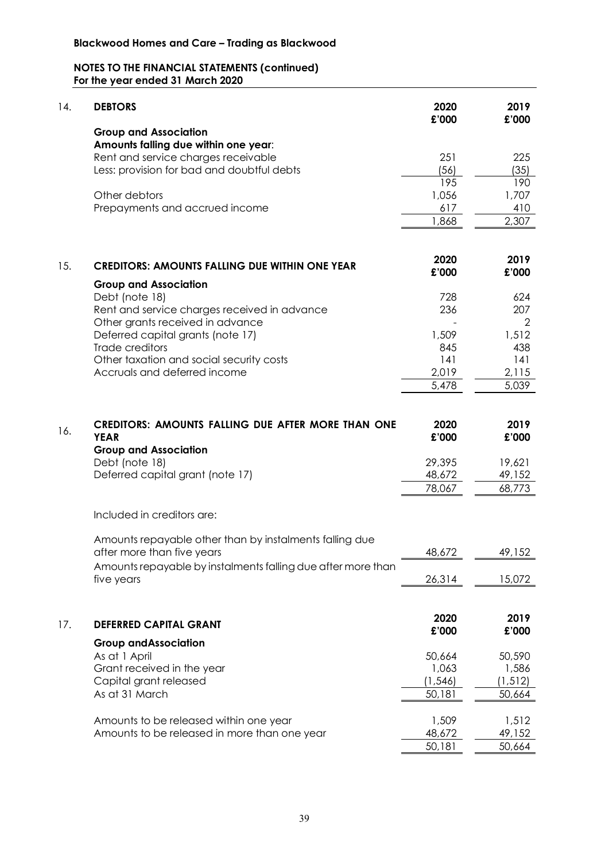| 14. | <b>DEBTORS</b>                                                                         | 2020<br>£'000    | 2019<br>£'000    |
|-----|----------------------------------------------------------------------------------------|------------------|------------------|
|     | <b>Group and Association</b>                                                           |                  |                  |
|     | Amounts falling due within one year:                                                   |                  |                  |
|     | Rent and service charges receivable<br>Less: provision for bad and doubtful debts      | 251<br>(56)      | 225<br>(35)      |
|     |                                                                                        | 195              | 190              |
|     | Other debtors                                                                          | 1,056            | 1,707            |
|     | Prepayments and accrued income                                                         | 617              | 410              |
|     |                                                                                        | 1,868            | 2,307            |
|     |                                                                                        | 2020             | 2019             |
| 15. | <b>CREDITORS: AMOUNTS FALLING DUE WITHIN ONE YEAR</b>                                  | £'000            | £'000            |
|     | <b>Group and Association</b>                                                           |                  |                  |
|     | Debt (note 18)                                                                         | 728              | 624              |
|     | Rent and service charges received in advance                                           | 236              | 207              |
|     | Other grants received in advance                                                       |                  | 2                |
|     | Deferred capital grants (note 17)                                                      | 1,509            | 1,512            |
|     | Trade creditors                                                                        | 845              | 438              |
|     | Other taxation and social security costs                                               | 141              | 141              |
|     | Accruals and deferred income                                                           | 2,019            | 2,115            |
|     |                                                                                        | 5,478            | 5,039            |
| 16. | <b>CREDITORS: AMOUNTS FALLING DUE AFTER MORE THAN ONE</b><br><b>YEAR</b>               | 2020<br>£'000    | 2019<br>£'000    |
|     | <b>Group and Association</b>                                                           |                  |                  |
|     | Debt (note 18)                                                                         | 29,395           | 19,621           |
|     | Deferred capital grant (note 17)                                                       | 48,672<br>78,067 | 49,152<br>68,773 |
|     |                                                                                        |                  |                  |
|     | Included in creditors are:                                                             |                  |                  |
|     | Amounts repayable other than by instalments falling due                                |                  |                  |
|     | after more than five years                                                             | 48,672           | 49,152           |
|     | Amounts repayable by instalments falling due after more than                           |                  |                  |
|     | five years                                                                             | 26,314           | 15,072           |
|     |                                                                                        |                  |                  |
| 17. | <b>DEFERRED CAPITAL GRANT</b>                                                          | 2020             | 2019             |
|     | <b>Group and Association</b>                                                           | £'000            | £'000            |
|     | As at 1 April                                                                          | 50,664           | 50,590           |
|     | Grant received in the year                                                             | 1,063            | 1,586            |
|     | Capital grant released                                                                 | (1, 546)         | (1, 512)         |
|     | As at 31 March                                                                         | 50,181           | 50,664           |
|     |                                                                                        |                  |                  |
|     | Amounts to be released within one year<br>Amounts to be released in more than one year | 1,509<br>48,672  | 1,512<br>49,152  |
|     |                                                                                        | 50,181           | 50,664           |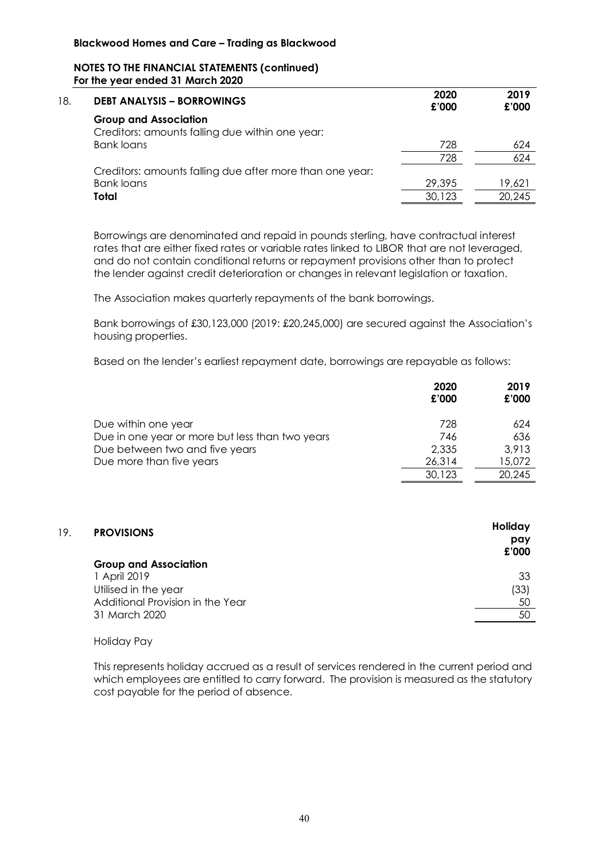| 18. | <b>DEBT ANALYSIS - BORROWINGS</b>                        | 2020<br>£'000 | 2019<br>£'000 |
|-----|----------------------------------------------------------|---------------|---------------|
|     | <b>Group and Association</b>                             |               |               |
|     | Creditors: amounts falling due within one year:          |               |               |
|     | Bank loans                                               | 728           | 624           |
|     |                                                          | 728           | 624           |
|     | Creditors: amounts falling due after more than one year: |               |               |
|     | <b>Bank loans</b>                                        | 29,395        | 19,621        |
|     | Total                                                    | 30,123        | 20,245        |
|     |                                                          |               |               |

Borrowings are denominated and repaid in pounds sterling, have contractual interest rates that are either fixed rates or variable rates linked to LIBOR that are not leveraged, and do not contain conditional returns or repayment provisions other than to protect the lender against credit deterioration or changes in relevant legislation or taxation.

The Association makes quarterly repayments of the bank borrowings.

Bank borrowings of £30,123,000 (2019: £20,245,000) are secured against the Association's housing properties.

Based on the lender's earliest repayment date, borrowings are repayable as follows:

|                                                 | 2020<br>£'000 | 2019<br>£'000 |
|-------------------------------------------------|---------------|---------------|
| Due within one year                             | 728           | 624           |
| Due in one year or more but less than two years | 746           | 636           |
| Due between two and five years                  | 2,335         | 3.913         |
| Due more than five years                        | 26,314        | 15,072        |
|                                                 | 30,123        | 20,245        |

| 19. | <b>PROVISIONS</b>                | Holiday<br>pay<br>£'000 |
|-----|----------------------------------|-------------------------|
|     | <b>Group and Association</b>     |                         |
|     | 1 April 2019                     | 33                      |
|     | Utilised in the year             | (33)                    |
|     | Additional Provision in the Year | 50                      |
|     | 31 March 2020                    | 50                      |
|     |                                  |                         |

#### Holiday Pay

This represents holiday accrued as a result of services rendered in the current period and which employees are entitled to carry forward. The provision is measured as the statutory cost payable for the period of absence.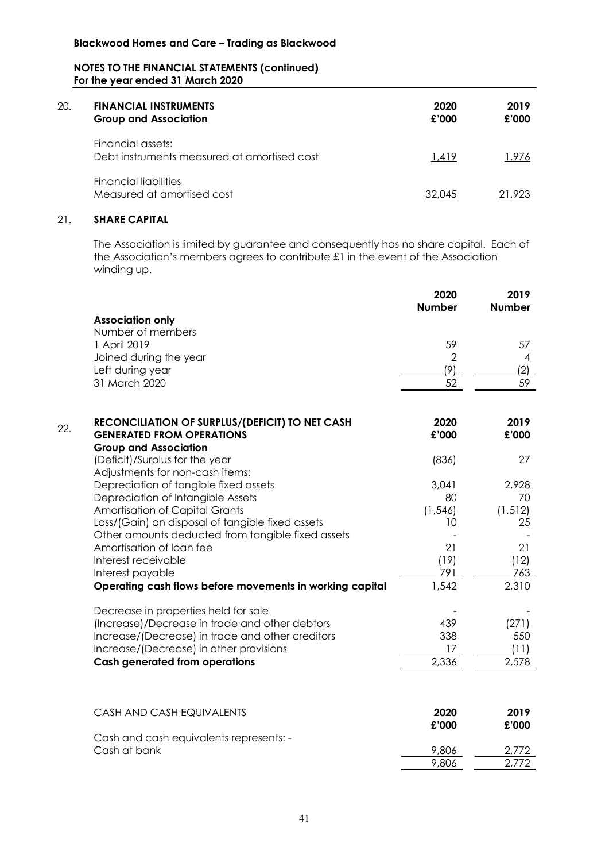| 20. | <b>FINANCIAL INSTRUMENTS</b><br><b>Group and Association</b>     | 2020<br>£'000 | 2019<br>£'000 |
|-----|------------------------------------------------------------------|---------------|---------------|
|     | Financial assets:<br>Debt instruments measured at amortised cost | 1.419         | 1.976         |
|     | Financial liabilities<br>Measured at amortised cost              | 32.045        | 21.923        |

## 21. **SHARE CAPITAL**

The Association is limited by guarantee and consequently has no share capital. Each of the Association's members agrees to contribute £1 in the event of the Association winding up.

|     |                                                                   | 2020<br><b>Number</b> | 2019<br><b>Number</b> |
|-----|-------------------------------------------------------------------|-----------------------|-----------------------|
|     | <b>Association only</b>                                           |                       |                       |
|     | Number of members                                                 |                       |                       |
|     | 1 April 2019                                                      | 59                    | 57                    |
|     | Joined during the year                                            | $\overline{2}$        | 4                     |
|     | Left during year                                                  | (9)                   | (2)                   |
|     | 31 March 2020                                                     | 52                    | 59                    |
|     |                                                                   |                       |                       |
| 22. | RECONCILIATION OF SURPLUS/(DEFICIT) TO NET CASH                   | 2020                  | 2019                  |
|     | <b>GENERATED FROM OPERATIONS</b>                                  | £'000                 | £'000                 |
|     | <b>Group and Association</b>                                      |                       |                       |
|     | (Deficit)/Surplus for the year<br>Adjustments for non-cash items: | (836)                 | 27                    |
|     | Depreciation of tangible fixed assets                             | 3,041                 | 2,928                 |
|     | Depreciation of Intangible Assets                                 | 80                    | 70                    |
|     | <b>Amortisation of Capital Grants</b>                             | (1, 546)              | (1, 512)              |
|     | Loss/(Gain) on disposal of tangible fixed assets                  | 10                    | 25                    |
|     | Other amounts deducted from tangible fixed assets                 |                       |                       |
|     | Amortisation of loan fee                                          | 21                    | 21                    |
|     | Interest receivable                                               | (19)                  | (12)                  |
|     | Interest payable                                                  | 791                   | 763                   |
|     | Operating cash flows before movements in working capital          | 1,542                 | 2,310                 |
|     | Decrease in properties held for sale                              |                       |                       |
|     | (Increase)/Decrease in trade and other debtors                    | 439                   | (271)                 |
|     | Increase/(Decrease) in trade and other creditors                  | 338                   | 550                   |
|     | Increase/(Decrease) in other provisions                           | 17<br>2,336           | (11)                  |
|     | <b>Cash generated from operations</b>                             |                       | 2,578                 |
|     |                                                                   |                       |                       |
|     | CASH AND CASH EQUIVALENTS                                         | 2020                  | 2019                  |
|     |                                                                   | £'000                 | £'000                 |
|     | Cash and cash equivalents represents: -                           |                       |                       |
|     | Cash at bank                                                      | 9,806                 | 2,772                 |
|     |                                                                   | 9,806                 | 2,772                 |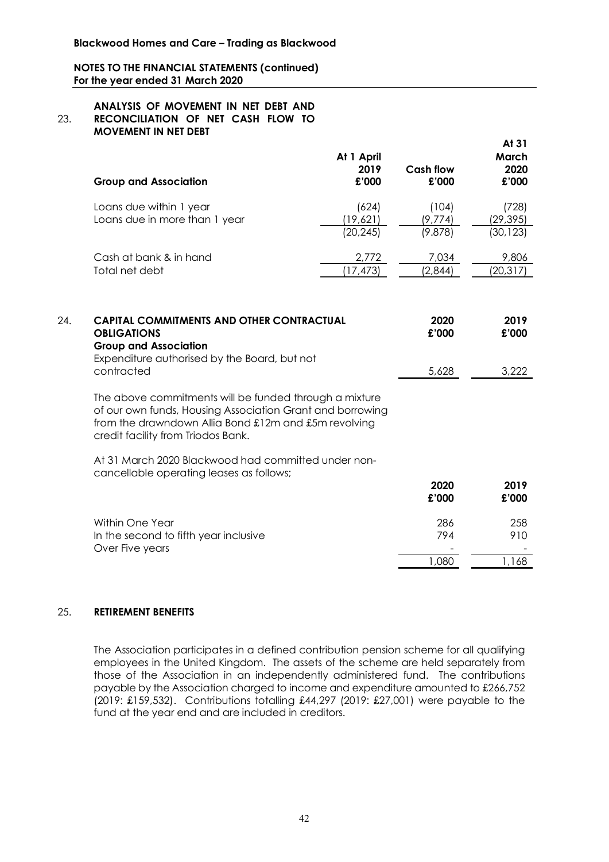#### 23. **ANALYSIS OF MOVEMENT IN NET DEBT AND RECONCILIATION OF NET CASH FLOW TO MOVEMENT IN NET DEBT**

| <b>Group and Association</b>                             | At 1 April<br>2019<br>£'000    | Cash flow<br>£'000          | At 31<br>March<br>2020<br>£'000 |
|----------------------------------------------------------|--------------------------------|-----------------------------|---------------------------------|
| Loans due within 1 year<br>Loans due in more than 1 year | (624)<br>(19,621)<br>(20, 245) | (104)<br>(9,774)<br>(9.878) | (728)<br>(29,395)<br>(30, 123)  |
| Cash at bank & in hand<br>Total net debt                 | 2,772<br>(17,473)              | 7,034<br>(2,844)            | 9,806<br>(20, 317)              |

| 24. | <b>CAPITAL COMMITMENTS AND OTHER CONTRACTUAL</b><br><b>OBLIGATIONS</b><br><b>Group and Association</b>                                                                                                            | 2020<br>£'000 | 2019<br>£'000 |
|-----|-------------------------------------------------------------------------------------------------------------------------------------------------------------------------------------------------------------------|---------------|---------------|
|     | Expenditure authorised by the Board, but not<br>contracted                                                                                                                                                        | 5,628         | 3.222         |
|     | The above commitments will be funded through a mixture<br>of our own funds, Housing Association Grant and borrowing<br>from the drawndown Allia Bond £12m and £5m revolving<br>credit facility from Triodos Bank. |               |               |
|     | At 31 March 2020 Blackwood had committed under non-                                                                                                                                                               |               |               |

cancellable operating leases as follows;

|                                                                             | 2020<br>£'000   | 2019<br>£'000 |
|-----------------------------------------------------------------------------|-----------------|---------------|
| Within One Year<br>In the second to fifth year inclusive<br>Over Five years | 286<br>794<br>- | 258<br>910    |
|                                                                             | ,080            | 168           |

#### 25. **RETIREMENT BENEFITS**

The Association participates in a defined contribution pension scheme for all qualifying employees in the United Kingdom. The assets of the scheme are held separately from those of the Association in an independently administered fund. The contributions payable by the Association charged to income and expenditure amounted to £266,752 (2019: £159,532). Contributions totalling £44,297 (2019: £27,001) were payable to the fund at the year end and are included in creditors.